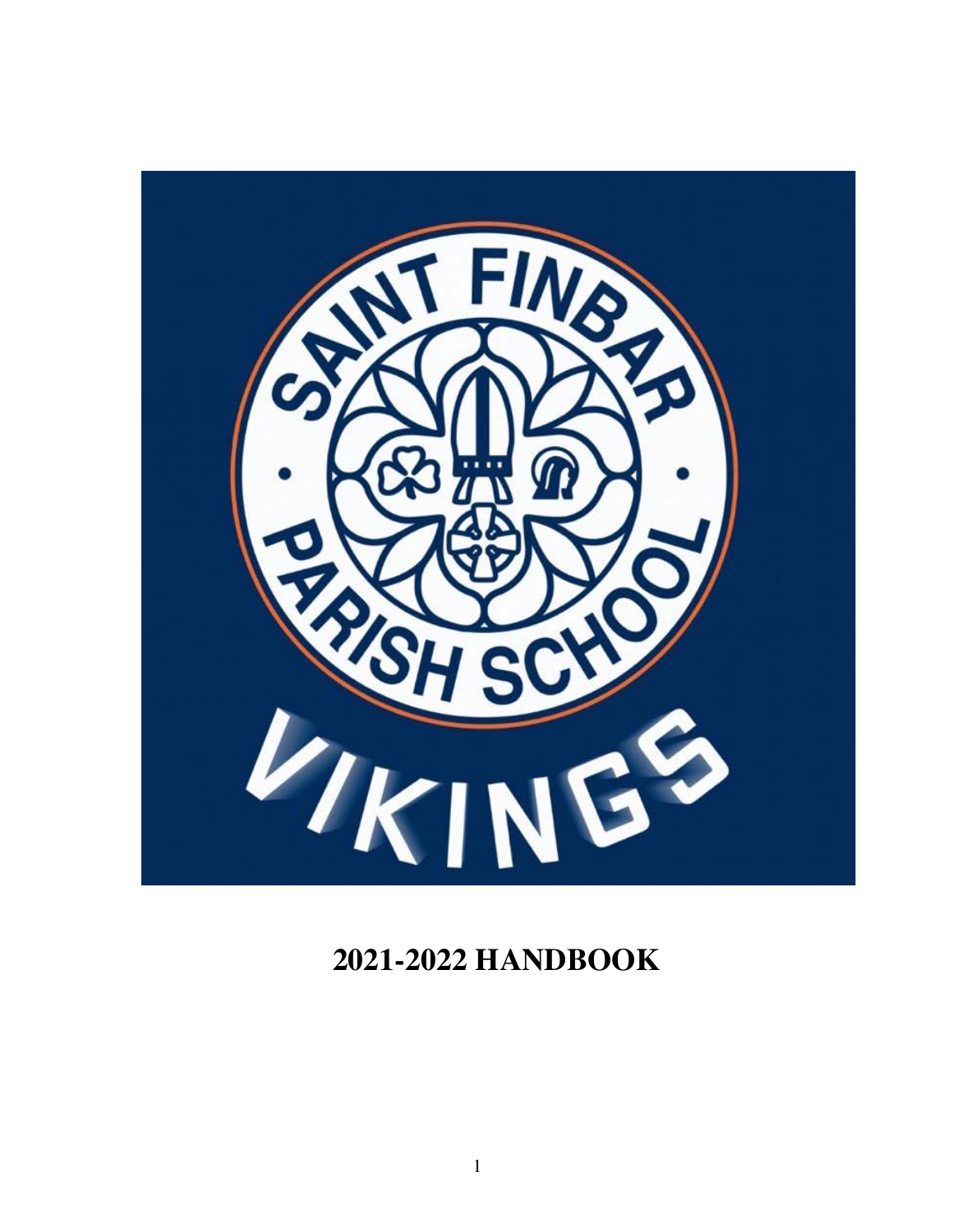

# **2021-2022 HANDBOOK**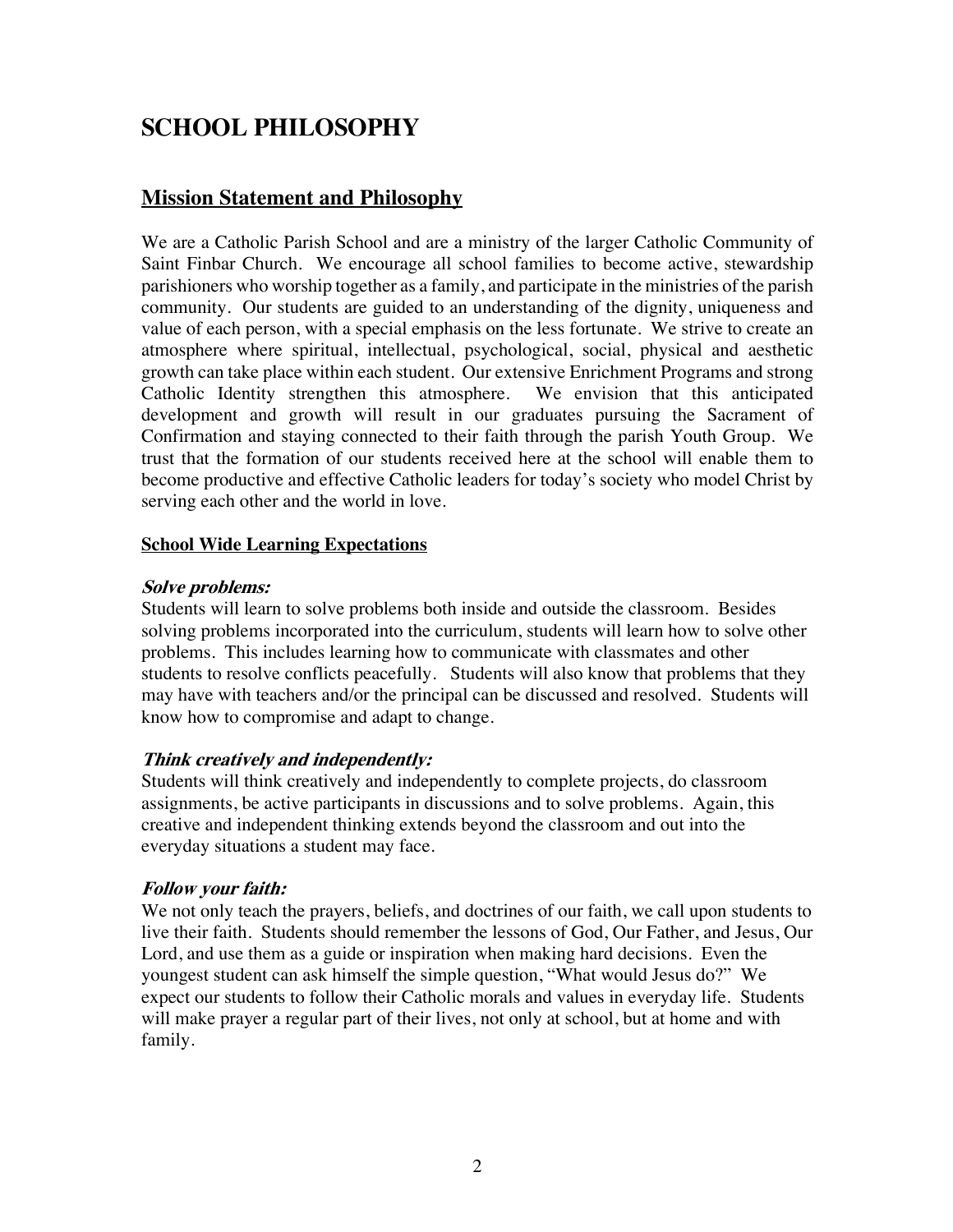# **SCHOOL PHILOSOPHY**

## **Mission Statement and Philosophy**

We are a Catholic Parish School and are a ministry of the larger Catholic Community of Saint Finbar Church. We encourage all school families to become active, stewardship parishioners who worship together as a family, and participate in the ministries of the parish community. Our students are guided to an understanding of the dignity, uniqueness and value of each person, with a special emphasis on the less fortunate. We strive to create an atmosphere where spiritual, intellectual, psychological, social, physical and aesthetic growth can take place within each student. Our extensive Enrichment Programs and strong Catholic Identity strengthen this atmosphere. We envision that this anticipated development and growth will result in our graduates pursuing the Sacrament of Confirmation and staying connected to their faith through the parish Youth Group. We trust that the formation of our students received here at the school will enable them to become productive and effective Catholic leaders for today's society who model Christ by serving each other and the world in love.

#### **School Wide Learning Expectations**

#### **Solve problems:**

Students will learn to solve problems both inside and outside the classroom. Besides solving problems incorporated into the curriculum, students will learn how to solve other problems. This includes learning how to communicate with classmates and other students to resolve conflicts peacefully. Students will also know that problems that they may have with teachers and/or the principal can be discussed and resolved. Students will know how to compromise and adapt to change.

### **Think creatively and independently:**

Students will think creatively and independently to complete projects, do classroom assignments, be active participants in discussions and to solve problems. Again, this creative and independent thinking extends beyond the classroom and out into the everyday situations a student may face.

### **Follow your faith:**

We not only teach the prayers, beliefs, and doctrines of our faith, we call upon students to live their faith. Students should remember the lessons of God, Our Father, and Jesus, Our Lord, and use them as a guide or inspiration when making hard decisions. Even the youngest student can ask himself the simple question, "What would Jesus do?" We expect our students to follow their Catholic morals and values in everyday life. Students will make prayer a regular part of their lives, not only at school, but at home and with family.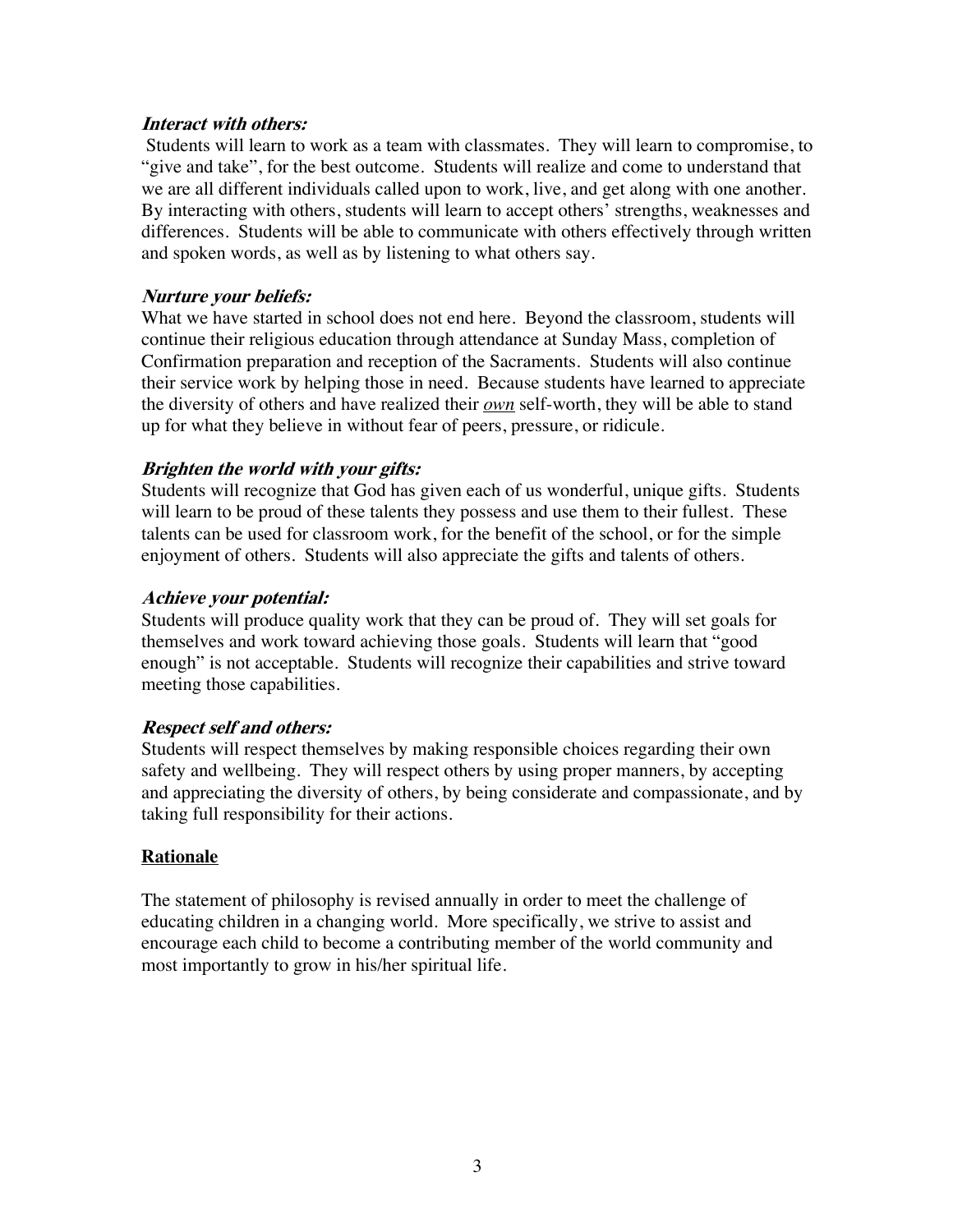#### **Interact with others:**

Students will learn to work as a team with classmates. They will learn to compromise, to "give and take", for the best outcome. Students will realize and come to understand that we are all different individuals called upon to work, live, and get along with one another. By interacting with others, students will learn to accept others' strengths, weaknesses and differences. Students will be able to communicate with others effectively through written and spoken words, as well as by listening to what others say.

#### **Nurture your beliefs:**

What we have started in school does not end here. Beyond the classroom, students will continue their religious education through attendance at Sunday Mass, completion of Confirmation preparation and reception of the Sacraments. Students will also continue their service work by helping those in need. Because students have learned to appreciate the diversity of others and have realized their *own* self-worth, they will be able to stand up for what they believe in without fear of peers, pressure, or ridicule.

#### **Brighten the world with your gifts:**

Students will recognize that God has given each of us wonderful, unique gifts. Students will learn to be proud of these talents they possess and use them to their fullest. These talents can be used for classroom work, for the benefit of the school, or for the simple enjoyment of others. Students will also appreciate the gifts and talents of others.

#### **Achieve your potential:**

Students will produce quality work that they can be proud of. They will set goals for themselves and work toward achieving those goals. Students will learn that "good enough" is not acceptable. Students will recognize their capabilities and strive toward meeting those capabilities.

### **Respect self and others:**

Students will respect themselves by making responsible choices regarding their own safety and wellbeing. They will respect others by using proper manners, by accepting and appreciating the diversity of others, by being considerate and compassionate, and by taking full responsibility for their actions.

### **Rationale**

The statement of philosophy is revised annually in order to meet the challenge of educating children in a changing world. More specifically, we strive to assist and encourage each child to become a contributing member of the world community and most importantly to grow in his/her spiritual life.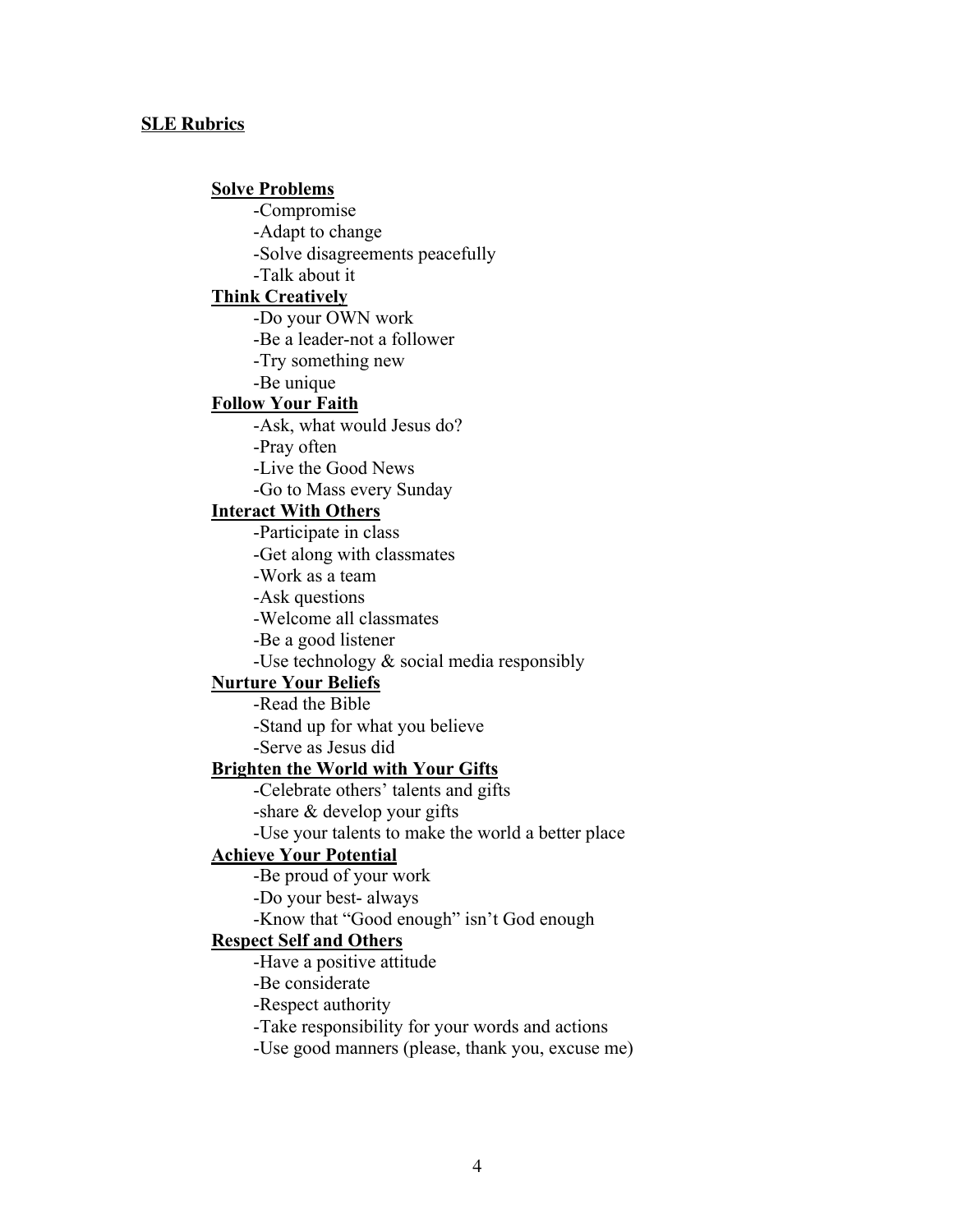#### **SLE Rubrics**

#### **Solve Problems**

-Compromise

-Adapt to change

-Solve disagreements peacefully

-Talk about it

#### **Think Creatively**

-Do your OWN work

-Be a leader-not a follower

-Try something new

-Be unique

#### **Follow Your Faith**

-Ask, what would Jesus do?

-Pray often

-Live the Good News

-Go to Mass every Sunday

#### **Interact With Others**

-Participate in class

-Get along with classmates

-Work as a team

-Ask questions

-Welcome all classmates

-Be a good listener

-Use technology & social media responsibly

#### **Nurture Your Beliefs**

-Read the Bible

-Stand up for what you believe

-Serve as Jesus did

#### **Brighten the World with Your Gifts**

-Celebrate others' talents and gifts

-share & develop your gifts

-Use your talents to make the world a better place

#### **Achieve Your Potential**

-Be proud of your work

-Do your best- always

-Know that "Good enough" isn't God enough

#### **Respect Self and Others**

-Have a positive attitude

-Be considerate

-Respect authority

-Take responsibility for your words and actions

-Use good manners (please, thank you, excuse me)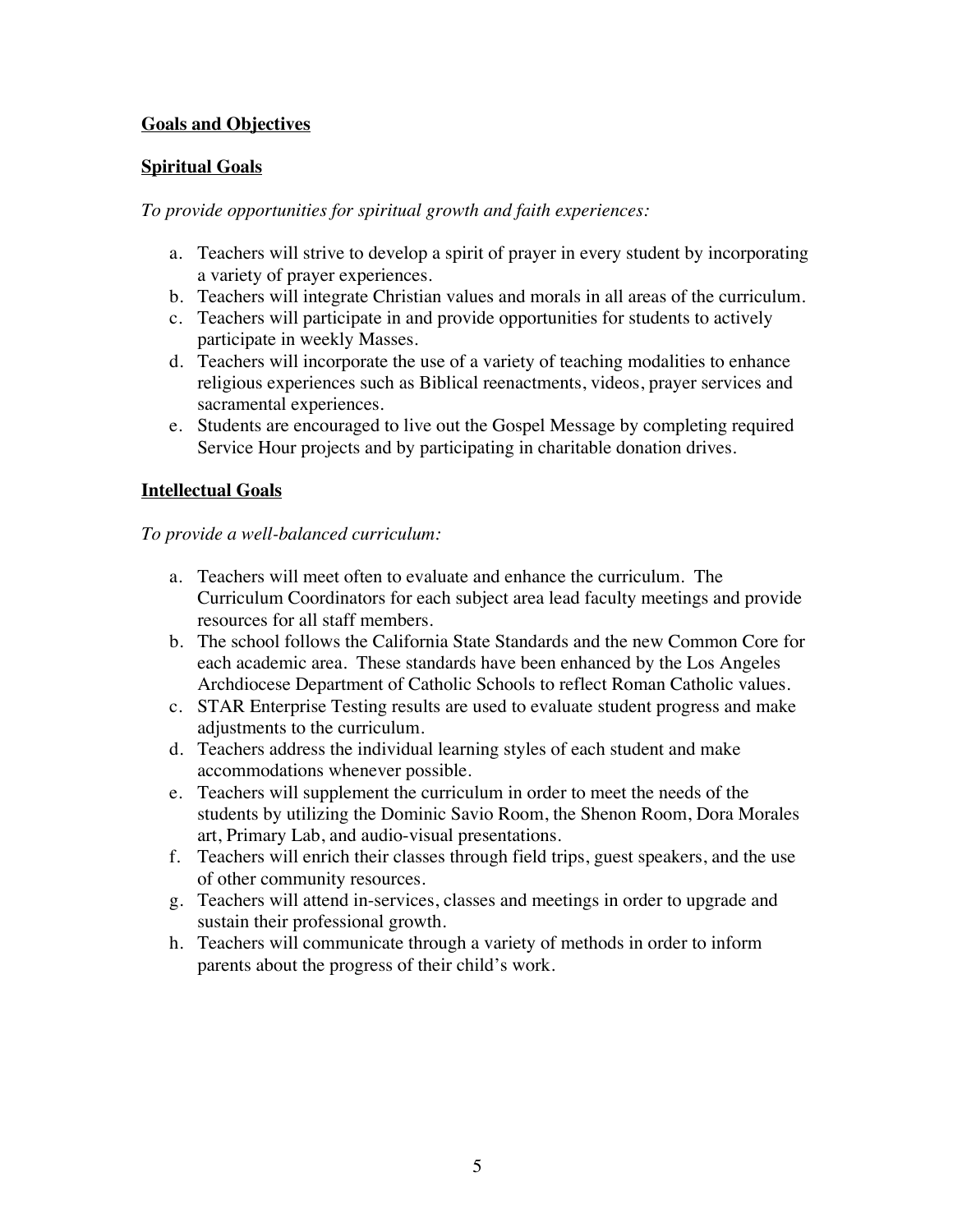### **Goals and Objectives**

## **Spiritual Goals**

*To provide opportunities for spiritual growth and faith experiences:*

- a. Teachers will strive to develop a spirit of prayer in every student by incorporating a variety of prayer experiences.
- b. Teachers will integrate Christian values and morals in all areas of the curriculum.
- c. Teachers will participate in and provide opportunities for students to actively participate in weekly Masses.
- d. Teachers will incorporate the use of a variety of teaching modalities to enhance religious experiences such as Biblical reenactments, videos, prayer services and sacramental experiences.
- e. Students are encouraged to live out the Gospel Message by completing required Service Hour projects and by participating in charitable donation drives.

### **Intellectual Goals**

### *To provide a well-balanced curriculum:*

- a. Teachers will meet often to evaluate and enhance the curriculum. The Curriculum Coordinators for each subject area lead faculty meetings and provide resources for all staff members.
- b. The school follows the California State Standards and the new Common Core for each academic area. These standards have been enhanced by the Los Angeles Archdiocese Department of Catholic Schools to reflect Roman Catholic values.
- c. STAR Enterprise Testing results are used to evaluate student progress and make adjustments to the curriculum.
- d. Teachers address the individual learning styles of each student and make accommodations whenever possible.
- e. Teachers will supplement the curriculum in order to meet the needs of the students by utilizing the Dominic Savio Room, the Shenon Room, Dora Morales art, Primary Lab, and audio-visual presentations.
- f. Teachers will enrich their classes through field trips, guest speakers, and the use of other community resources.
- g. Teachers will attend in-services, classes and meetings in order to upgrade and sustain their professional growth.
- h. Teachers will communicate through a variety of methods in order to inform parents about the progress of their child's work.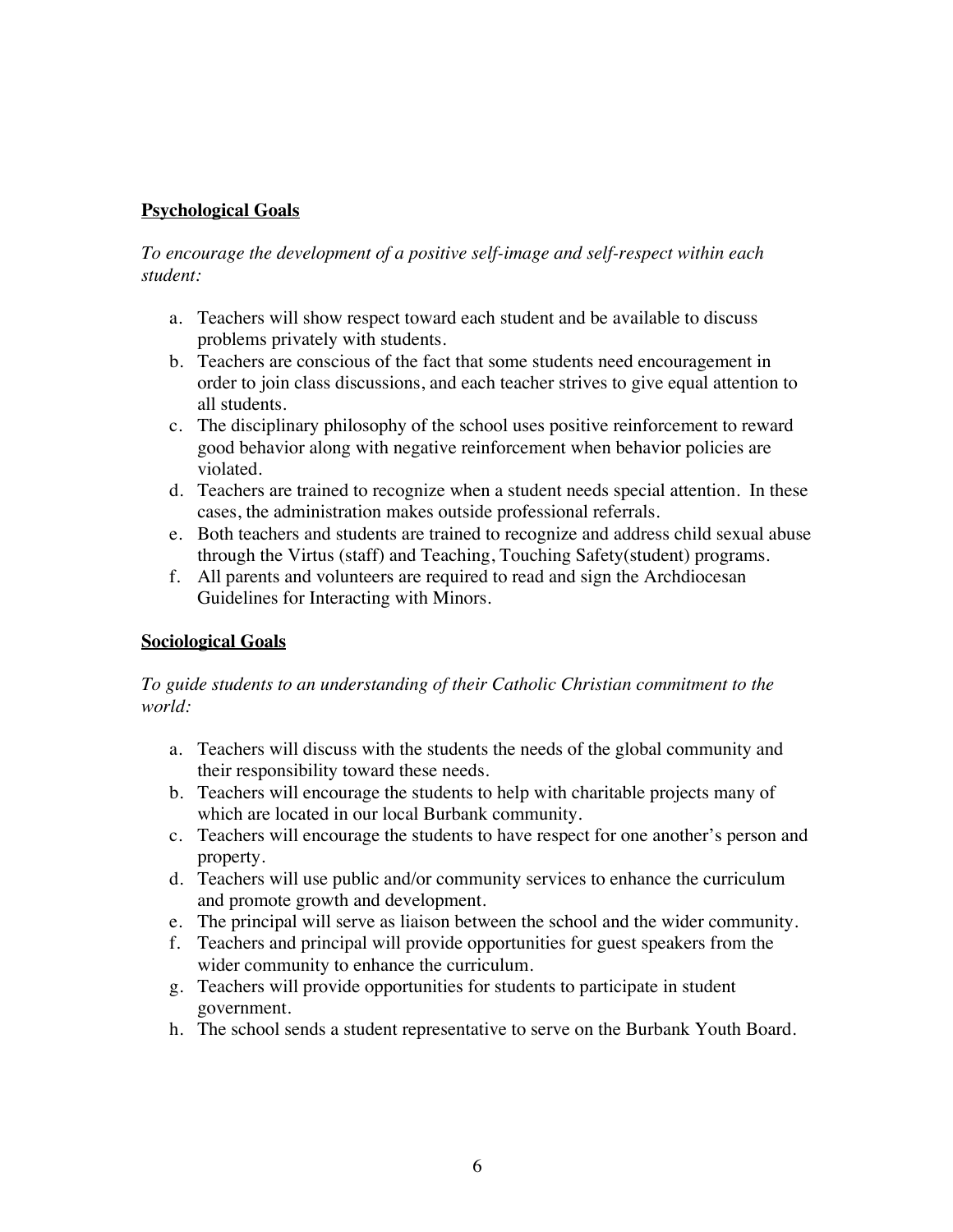## **Psychological Goals**

*To encourage the development of a positive self-image and self-respect within each student:* 

- a. Teachers will show respect toward each student and be available to discuss problems privately with students.
- b. Teachers are conscious of the fact that some students need encouragement in order to join class discussions, and each teacher strives to give equal attention to all students.
- c. The disciplinary philosophy of the school uses positive reinforcement to reward good behavior along with negative reinforcement when behavior policies are violated.
- d. Teachers are trained to recognize when a student needs special attention. In these cases, the administration makes outside professional referrals.
- e. Both teachers and students are trained to recognize and address child sexual abuse through the Virtus (staff) and Teaching, Touching Safety(student) programs.
- f. All parents and volunteers are required to read and sign the Archdiocesan Guidelines for Interacting with Minors.

### **Sociological Goals**

### *To guide students to an understanding of their Catholic Christian commitment to the world:*

- a. Teachers will discuss with the students the needs of the global community and their responsibility toward these needs.
- b. Teachers will encourage the students to help with charitable projects many of which are located in our local Burbank community.
- c. Teachers will encourage the students to have respect for one another's person and property.
- d. Teachers will use public and/or community services to enhance the curriculum and promote growth and development.
- e. The principal will serve as liaison between the school and the wider community.
- f. Teachers and principal will provide opportunities for guest speakers from the wider community to enhance the curriculum.
- g. Teachers will provide opportunities for students to participate in student government.
- h. The school sends a student representative to serve on the Burbank Youth Board.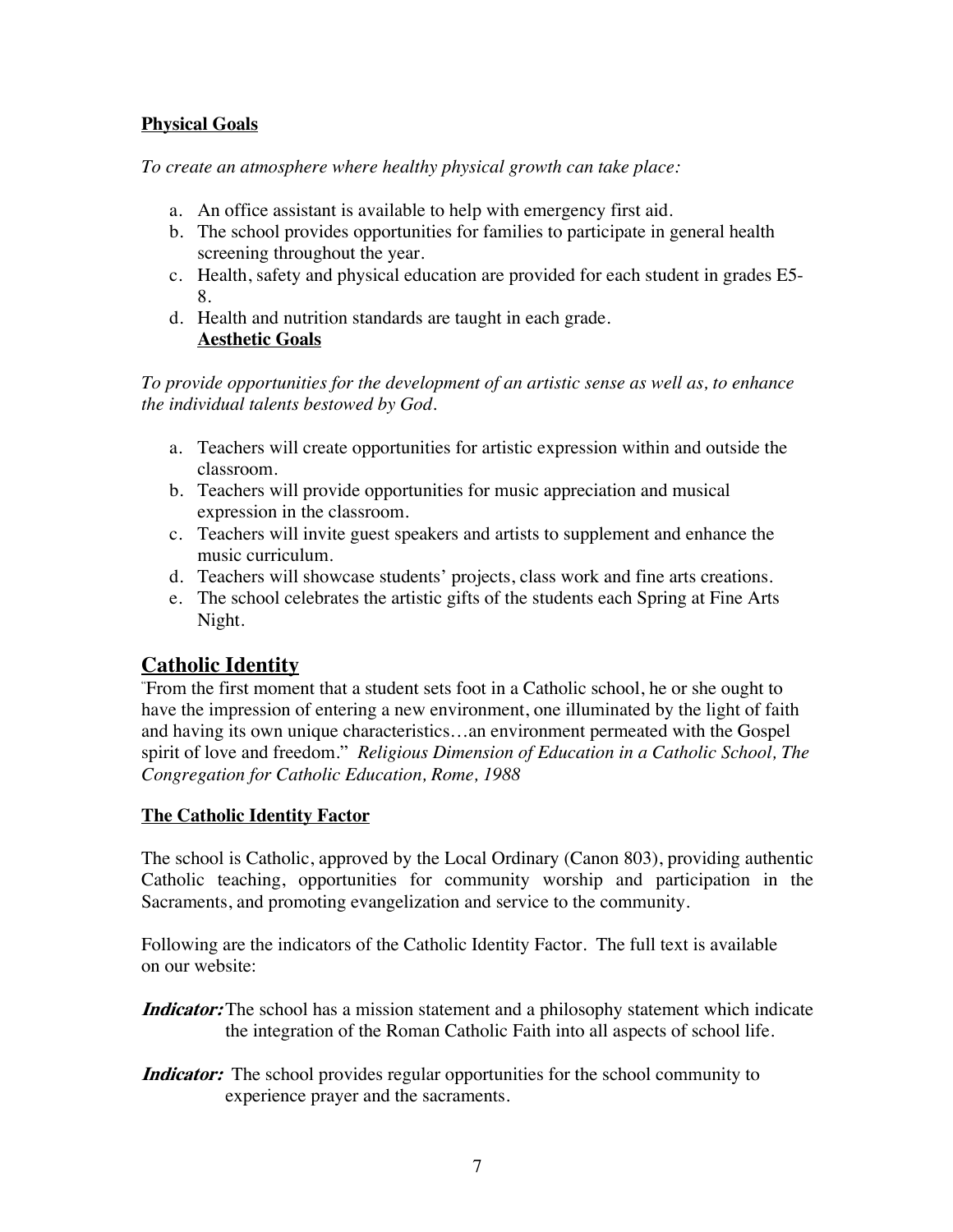## **Physical Goals**

*To create an atmosphere where healthy physical growth can take place:*

- a. An office assistant is available to help with emergency first aid.
- b. The school provides opportunities for families to participate in general health screening throughout the year.
- c. Health, safety and physical education are provided for each student in grades E5- 8.
- d. Health and nutrition standards are taught in each grade. **Aesthetic Goals**

*To provide opportunities for the development of an artistic sense as well as, to enhance the individual talents bestowed by God.*

- a. Teachers will create opportunities for artistic expression within and outside the classroom.
- b. Teachers will provide opportunities for music appreciation and musical expression in the classroom.
- c. Teachers will invite guest speakers and artists to supplement and enhance the music curriculum.
- d. Teachers will showcase students' projects, class work and fine arts creations.
- e. The school celebrates the artistic gifts of the students each Spring at Fine Arts Night.

# **Catholic Identity**

" From the first moment that a student sets foot in a Catholic school, he or she ought to have the impression of entering a new environment, one illuminated by the light of faith and having its own unique characteristics…an environment permeated with the Gospel spirit of love and freedom." *Religious Dimension of Education in a Catholic School, The Congregation for Catholic Education, Rome, 1988*

### **The Catholic Identity Factor**

The school is Catholic, approved by the Local Ordinary (Canon 803), providing authentic Catholic teaching, opportunities for community worship and participation in the Sacraments, and promoting evangelization and service to the community.

Following are the indicators of the Catholic Identity Factor. The full text is available on our website:

**Indicator:** The school has a mission statement and a philosophy statement which indicate the integration of the Roman Catholic Faith into all aspects of school life.

**Indicator:** The school provides regular opportunities for the school community to experience prayer and the sacraments.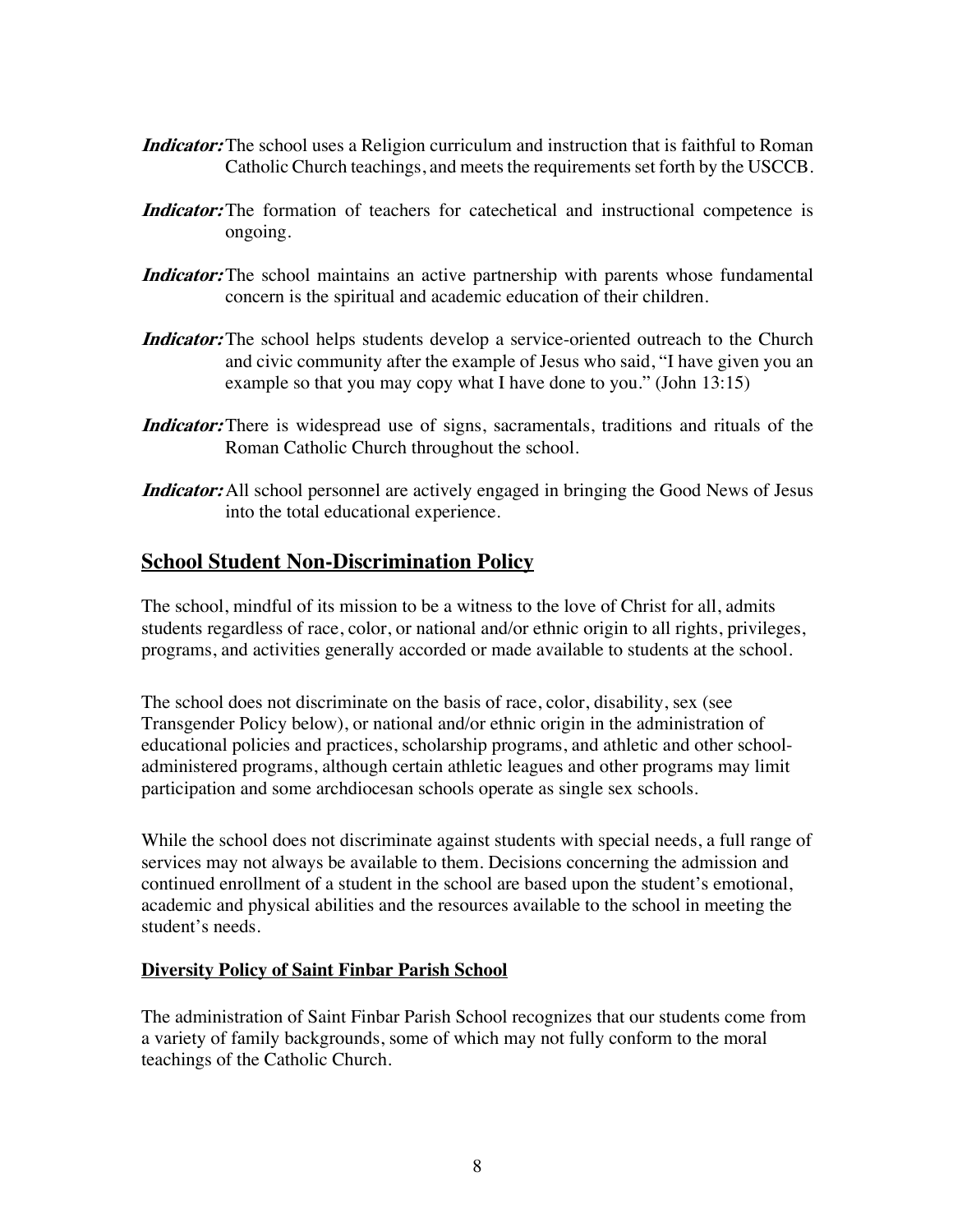- **Indicator:** The school uses a Religion curriculum and instruction that is faithful to Roman Catholic Church teachings, and meets the requirements set forth by the USCCB.
- **Indicator:** The formation of teachers for cate chetical and instructional competence is ongoing.
- **Indicator:** The school maintains an active partnership with parents whose fundamental concern is the spiritual and academic education of their children.
- **Indicator:** The school helps students develop a service-oriented outreach to the Church and civic community after the example of Jesus who said, "I have given you an example so that you may copy what I have done to you." (John 13:15)
- **Indicator:** There is widespread use of signs, sacramentals, traditions and rituals of the Roman Catholic Church throughout the school.
- **Indicator:** All school personnel are actively engaged in bringing the Good News of Jesus into the total educational experience.

## **School Student Non-Discrimination Policy**

The school, mindful of its mission to be a witness to the love of Christ for all, admits students regardless of race, color, or national and/or ethnic origin to all rights, privileges, programs, and activities generally accorded or made available to students at the school.

The school does not discriminate on the basis of race, color, disability, sex (see Transgender Policy below), or national and/or ethnic origin in the administration of educational policies and practices, scholarship programs, and athletic and other schooladministered programs, although certain athletic leagues and other programs may limit participation and some archdiocesan schools operate as single sex schools.

While the school does not discriminate against students with special needs, a full range of services may not always be available to them. Decisions concerning the admission and continued enrollment of a student in the school are based upon the student's emotional, academic and physical abilities and the resources available to the school in meeting the student's needs.

### **Diversity Policy of Saint Finbar Parish School**

The administration of Saint Finbar Parish School recognizes that our students come from a variety of family backgrounds, some of which may not fully conform to the moral teachings of the Catholic Church.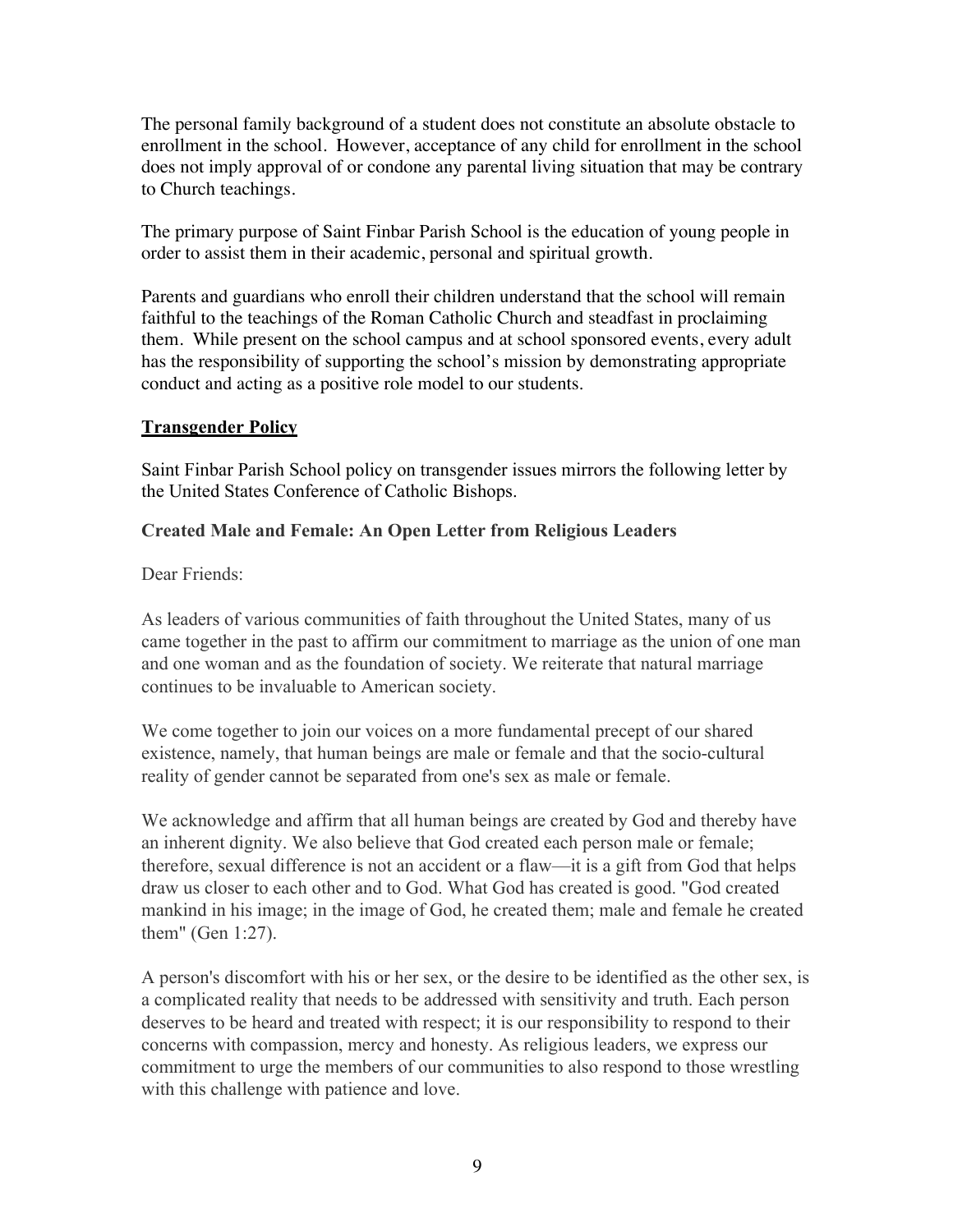The personal family background of a student does not constitute an absolute obstacle to enrollment in the school. However, acceptance of any child for enrollment in the school does not imply approval of or condone any parental living situation that may be contrary to Church teachings.

The primary purpose of Saint Finbar Parish School is the education of young people in order to assist them in their academic, personal and spiritual growth.

Parents and guardians who enroll their children understand that the school will remain faithful to the teachings of the Roman Catholic Church and steadfast in proclaiming them. While present on the school campus and at school sponsored events, every adult has the responsibility of supporting the school's mission by demonstrating appropriate conduct and acting as a positive role model to our students.

#### **Transgender Policy**

Saint Finbar Parish School policy on transgender issues mirrors the following letter by the United States Conference of Catholic Bishops.

### **Created Male and Female: An Open Letter from Religious Leaders**

Dear Friends:

As leaders of various communities of faith throughout the United States, many of us came together in the past to affirm our commitment to marriage as the union of one man and one woman and as the foundation of society. We reiterate that natural marriage continues to be invaluable to American society.

We come together to join our voices on a more fundamental precept of our shared existence, namely, that human beings are male or female and that the socio-cultural reality of gender cannot be separated from one's sex as male or female.

We acknowledge and affirm that all human beings are created by God and thereby have an inherent dignity. We also believe that God created each person male or female; therefore, sexual difference is not an accident or a flaw—it is a gift from God that helps draw us closer to each other and to God. What God has created is good. "God created mankind in his image; in the image of God, he created them; male and female he created them" (Gen 1:27).

A person's discomfort with his or her sex, or the desire to be identified as the other sex, is a complicated reality that needs to be addressed with sensitivity and truth. Each person deserves to be heard and treated with respect; it is our responsibility to respond to their concerns with compassion, mercy and honesty. As religious leaders, we express our commitment to urge the members of our communities to also respond to those wrestling with this challenge with patience and love.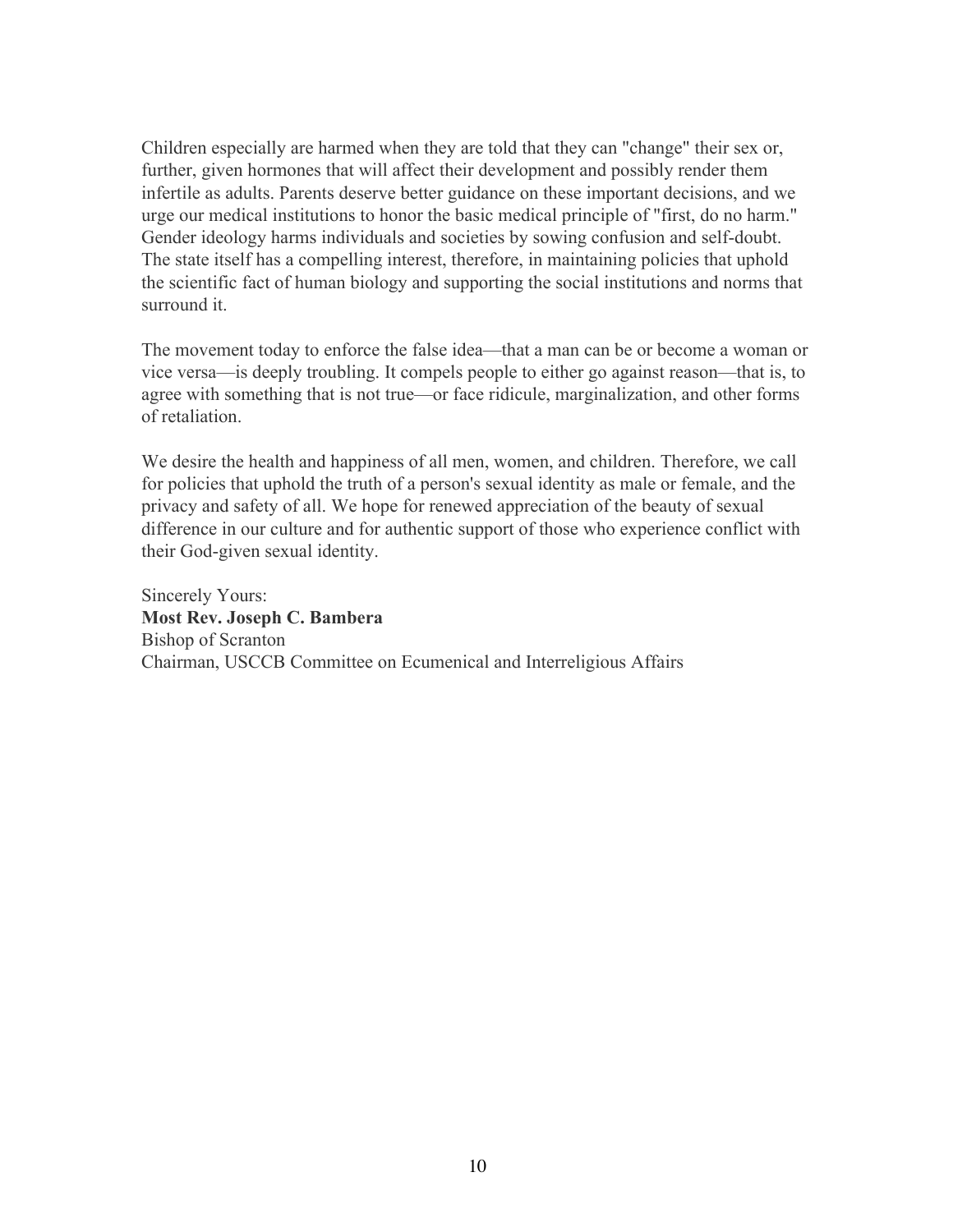Children especially are harmed when they are told that they can "change" their sex or, further, given hormones that will affect their development and possibly render them infertile as adults. Parents deserve better guidance on these important decisions, and we urge our medical institutions to honor the basic medical principle of "first, do no harm." Gender ideology harms individuals and societies by sowing confusion and self-doubt. The state itself has a compelling interest, therefore, in maintaining policies that uphold the scientific fact of human biology and supporting the social institutions and norms that surround it.

The movement today to enforce the false idea—that a man can be or become a woman or vice versa—is deeply troubling. It compels people to either go against reason—that is, to agree with something that is not true—or face ridicule, marginalization, and other forms of retaliation.

We desire the health and happiness of all men, women, and children. Therefore, we call for policies that uphold the truth of a person's sexual identity as male or female, and the privacy and safety of all. We hope for renewed appreciation of the beauty of sexual difference in our culture and for authentic support of those who experience conflict with their God-given sexual identity.

Sincerely Yours: **Most Rev. Joseph C. Bambera** Bishop of Scranton Chairman, USCCB Committee on Ecumenical and Interreligious Affairs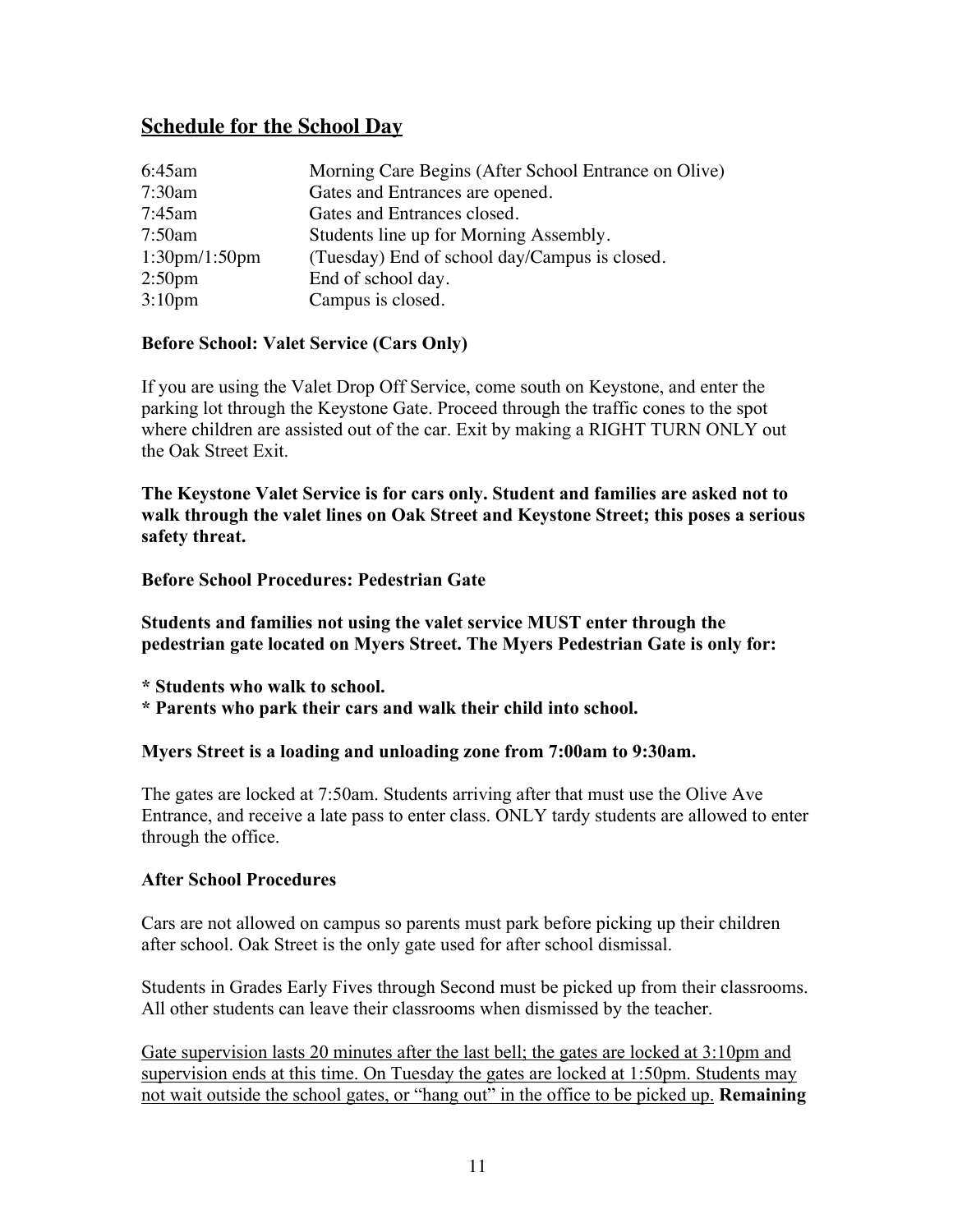# **Schedule for the School Day**

| 6:45am                          | Morning Care Begins (After School Entrance on Olive) |
|---------------------------------|------------------------------------------------------|
| 7:30am                          | Gates and Entrances are opened.                      |
| 7:45am                          | Gates and Entrances closed.                          |
| 7:50am                          | Students line up for Morning Assembly.               |
| $1:30 \text{pm}/1:50 \text{pm}$ | (Tuesday) End of school day/Campus is closed.        |
| 2:50 <sub>pm</sub>              | End of school day.                                   |
| 3:10 <sub>pm</sub>              | Campus is closed.                                    |

#### **Before School: Valet Service (Cars Only)**

If you are using the Valet Drop Off Service, come south on Keystone, and enter the parking lot through the Keystone Gate. Proceed through the traffic cones to the spot where children are assisted out of the car. Exit by making a RIGHT TURN ONLY out the Oak Street Exit.

**The Keystone Valet Service is for cars only. Student and families are asked not to walk through the valet lines on Oak Street and Keystone Street; this poses a serious safety threat.**

#### **Before School Procedures: Pedestrian Gate**

**Students and families not using the valet service MUST enter through the pedestrian gate located on Myers Street. The Myers Pedestrian Gate is only for:**

**\* Students who walk to school.**

**\* Parents who park their cars and walk their child into school.**

#### **Myers Street is a loading and unloading zone from 7:00am to 9:30am.**

The gates are locked at 7:50am. Students arriving after that must use the Olive Ave Entrance, and receive a late pass to enter class. ONLY tardy students are allowed to enter through the office.

#### **After School Procedures**

Cars are not allowed on campus so parents must park before picking up their children after school. Oak Street is the only gate used for after school dismissal.

Students in Grades Early Fives through Second must be picked up from their classrooms. All other students can leave their classrooms when dismissed by the teacher.

Gate supervision lasts 20 minutes after the last bell; the gates are locked at 3:10pm and supervision ends at this time. On Tuesday the gates are locked at 1:50pm. Students may not wait outside the school gates, or "hang out" in the office to be picked up. **Remaining**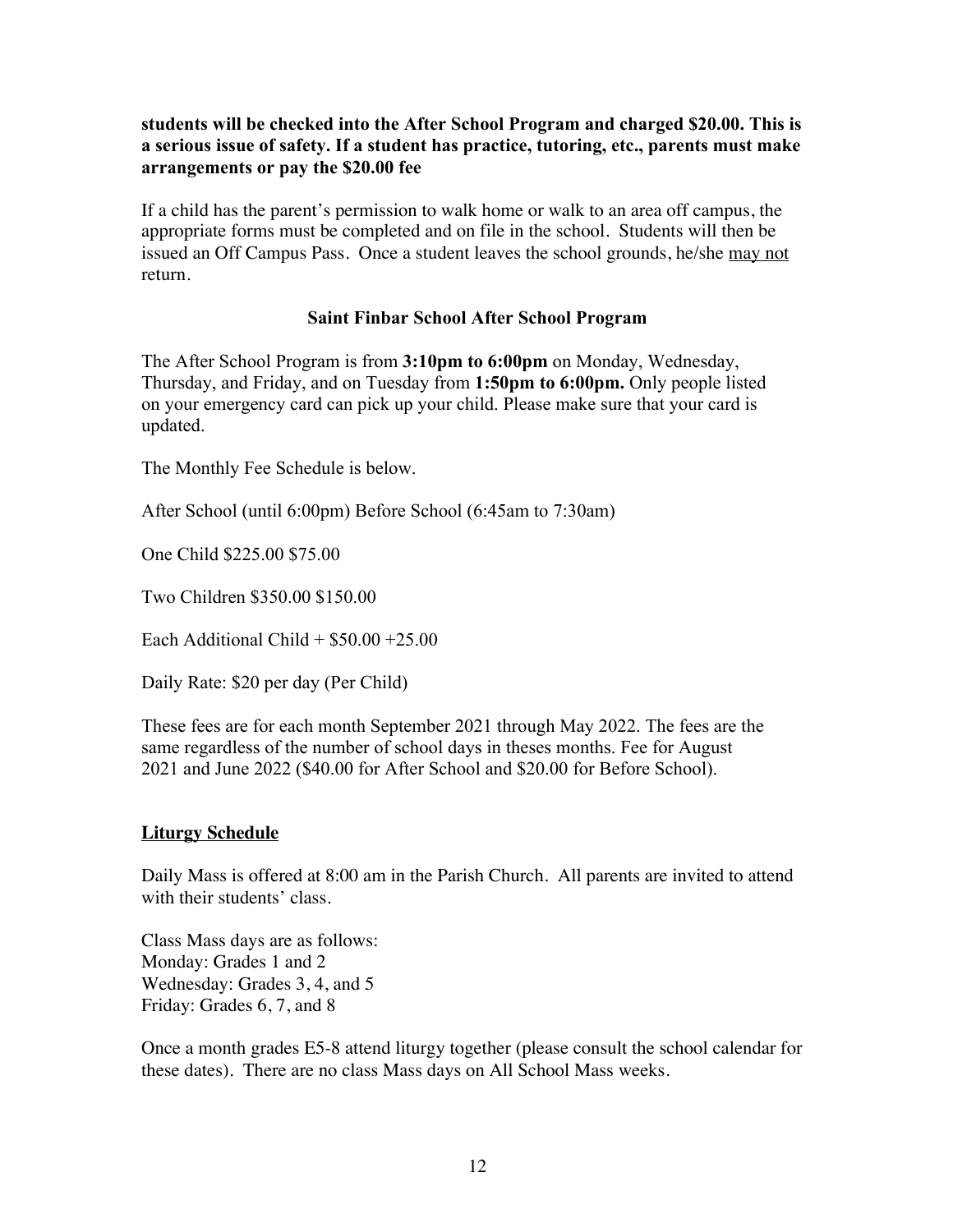#### **students will be checked into the After School Program and charged \$20.00. This is a serious issue of safety. If a student has practice, tutoring, etc., parents must make arrangements or pay the \$20.00 fee**

If a child has the parent's permission to walk home or walk to an area off campus, the appropriate forms must be completed and on file in the school. Students will then be issued an Off Campus Pass. Once a student leaves the school grounds, he/she may not return.

#### **Saint Finbar School After School Program**

The After School Program is from **3:10pm to 6:00pm** on Monday, Wednesday, Thursday, and Friday, and on Tuesday from **1:50pm to 6:00pm.** Only people listed on your emergency card can pick up your child. Please make sure that your card is updated.

The Monthly Fee Schedule is below.

After School (until 6:00pm) Before School (6:45am to 7:30am)

One Child \$225.00 \$75.00

Two Children \$350.00 \$150.00

Each Additional Child  $+$  \$50.00  $+25.00$ 

Daily Rate: \$20 per day (Per Child)

These fees are for each month September 2021 through May 2022. The fees are the same regardless of the number of school days in theses months. Fee for August 2021 and June 2022 (\$40.00 for After School and \$20.00 for Before School).

### **Liturgy Schedule**

Daily Mass is offered at 8:00 am in the Parish Church. All parents are invited to attend with their students' class.

Class Mass days are as follows: Monday: Grades 1 and 2 Wednesday: Grades 3, 4, and 5 Friday: Grades 6, 7, and 8

Once a month grades E5-8 attend liturgy together (please consult the school calendar for these dates). There are no class Mass days on All School Mass weeks.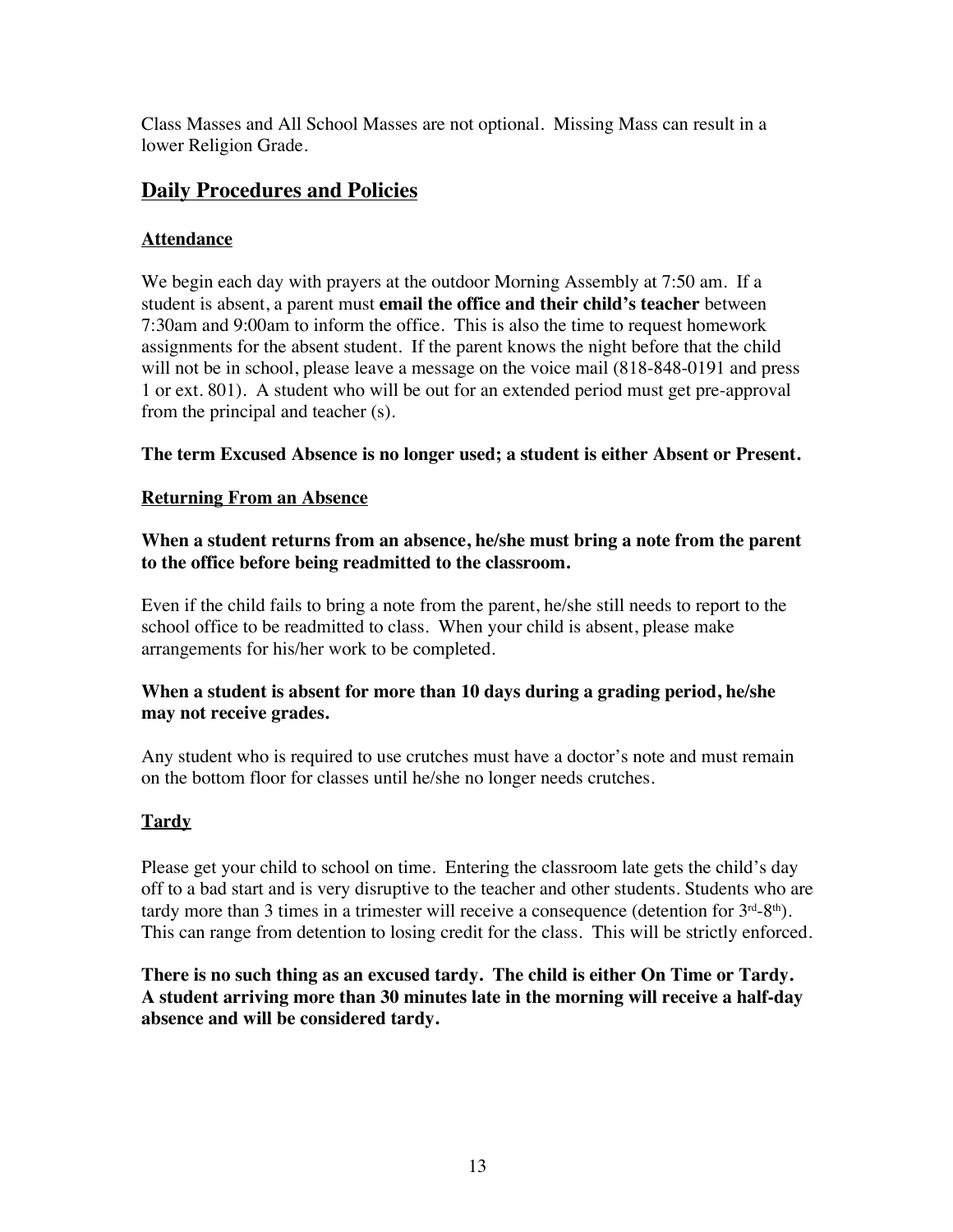Class Masses and All School Masses are not optional. Missing Mass can result in a lower Religion Grade.

# **Daily Procedures and Policies**

## **Attendance**

We begin each day with prayers at the outdoor Morning Assembly at 7:50 am. If a student is absent, a parent must **email the office and their child's teacher** between 7:30am and 9:00am to inform the office. This is also the time to request homework assignments for the absent student. If the parent knows the night before that the child will not be in school, please leave a message on the voice mail  $(818-848-0191)$  and press 1 or ext. 801). A student who will be out for an extended period must get pre-approval from the principal and teacher (s).

## **The term Excused Absence is no longer used; a student is either Absent or Present.**

## **Returning From an Absence**

**When a student returns from an absence, he/she must bring a note from the parent to the office before being readmitted to the classroom.**

Even if the child fails to bring a note from the parent, he/she still needs to report to the school office to be readmitted to class. When your child is absent, please make arrangements for his/her work to be completed.

### **When a student is absent for more than 10 days during a grading period, he/she may not receive grades.**

Any student who is required to use crutches must have a doctor's note and must remain on the bottom floor for classes until he/she no longer needs crutches.

## **Tardy**

Please get your child to school on time. Entering the classroom late gets the child's day off to a bad start and is very disruptive to the teacher and other students. Students who are tardy more than 3 times in a trimester will receive a consequence (detention for  $3<sup>rd</sup>-8<sup>th</sup>$ ). This can range from detention to losing credit for the class. This will be strictly enforced.

**There is no such thing as an excused tardy. The child is either On Time or Tardy. A student arriving more than 30 minutes late in the morning will receive a half-day absence and will be considered tardy.**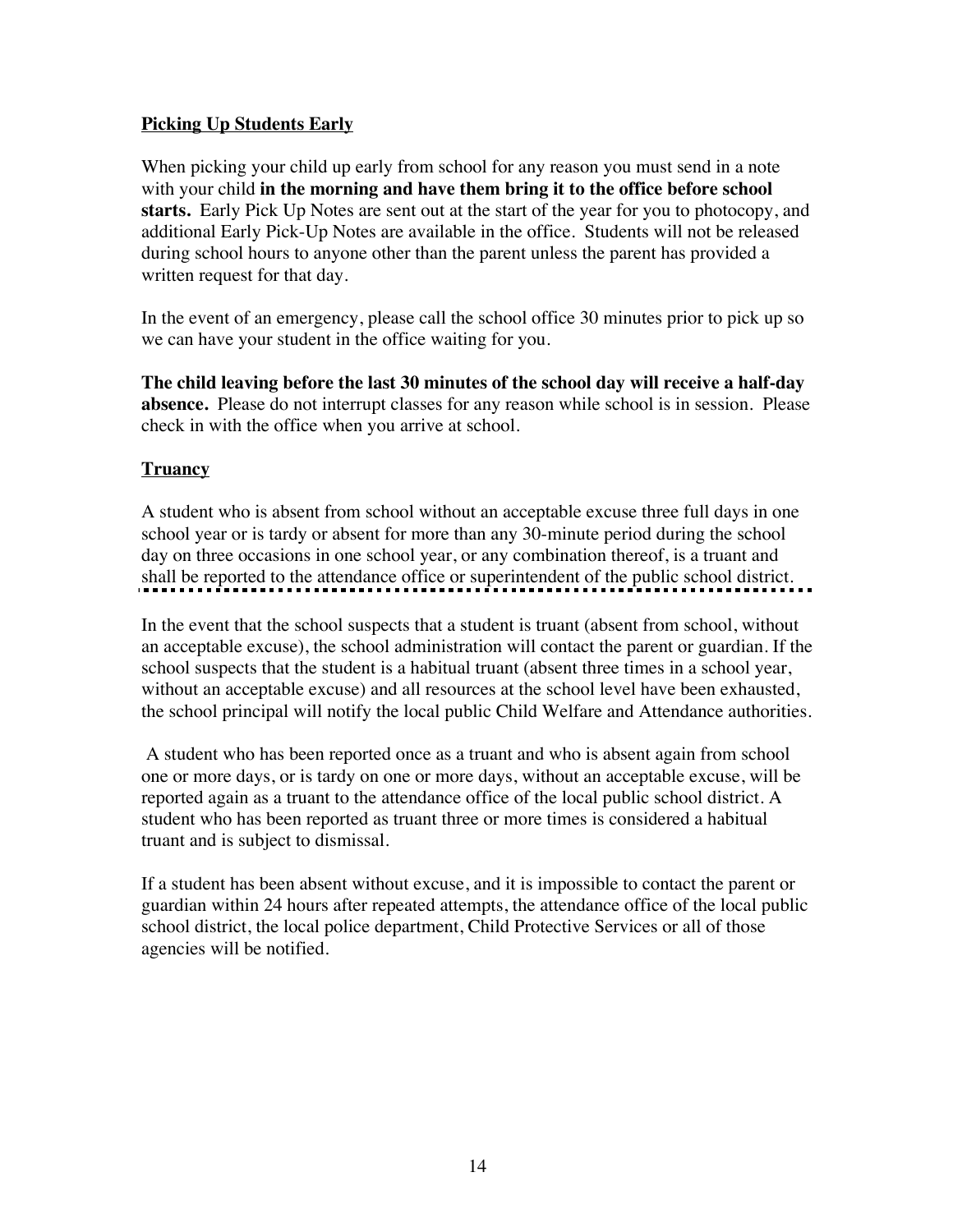### **Picking Up Students Early**

When picking your child up early from school for any reason you must send in a note with your child **in the morning and have them bring it to the office before school starts.** Early Pick Up Notes are sent out at the start of the year for you to photocopy, and additional Early Pick-Up Notes are available in the office. Students will not be released during school hours to anyone other than the parent unless the parent has provided a written request for that day.

In the event of an emergency, please call the school office 30 minutes prior to pick up so we can have your student in the office waiting for you.

**The child leaving before the last 30 minutes of the school day will receive a half-day absence.** Please do not interrupt classes for any reason while school is in session. Please check in with the office when you arrive at school.

## **Truancy**

A student who is absent from school without an acceptable excuse three full days in one school year or is tardy or absent for more than any 30-minute period during the school day on three occasions in one school year, or any combination thereof, is a truant and shall be reported to the attendance office or superintendent of the public school district.

In the event that the school suspects that a student is truant (absent from school, without an acceptable excuse), the school administration will contact the parent or guardian. If the school suspects that the student is a habitual truant (absent three times in a school year, without an acceptable excuse) and all resources at the school level have been exhausted, the school principal will notify the local public Child Welfare and Attendance authorities.

A student who has been reported once as a truant and who is absent again from school one or more days, or is tardy on one or more days, without an acceptable excuse, will be reported again as a truant to the attendance office of the local public school district. A student who has been reported as truant three or more times is considered a habitual truant and is subject to dismissal.

If a student has been absent without excuse, and it is impossible to contact the parent or guardian within 24 hours after repeated attempts, the attendance office of the local public school district, the local police department, Child Protective Services or all of those agencies will be notified.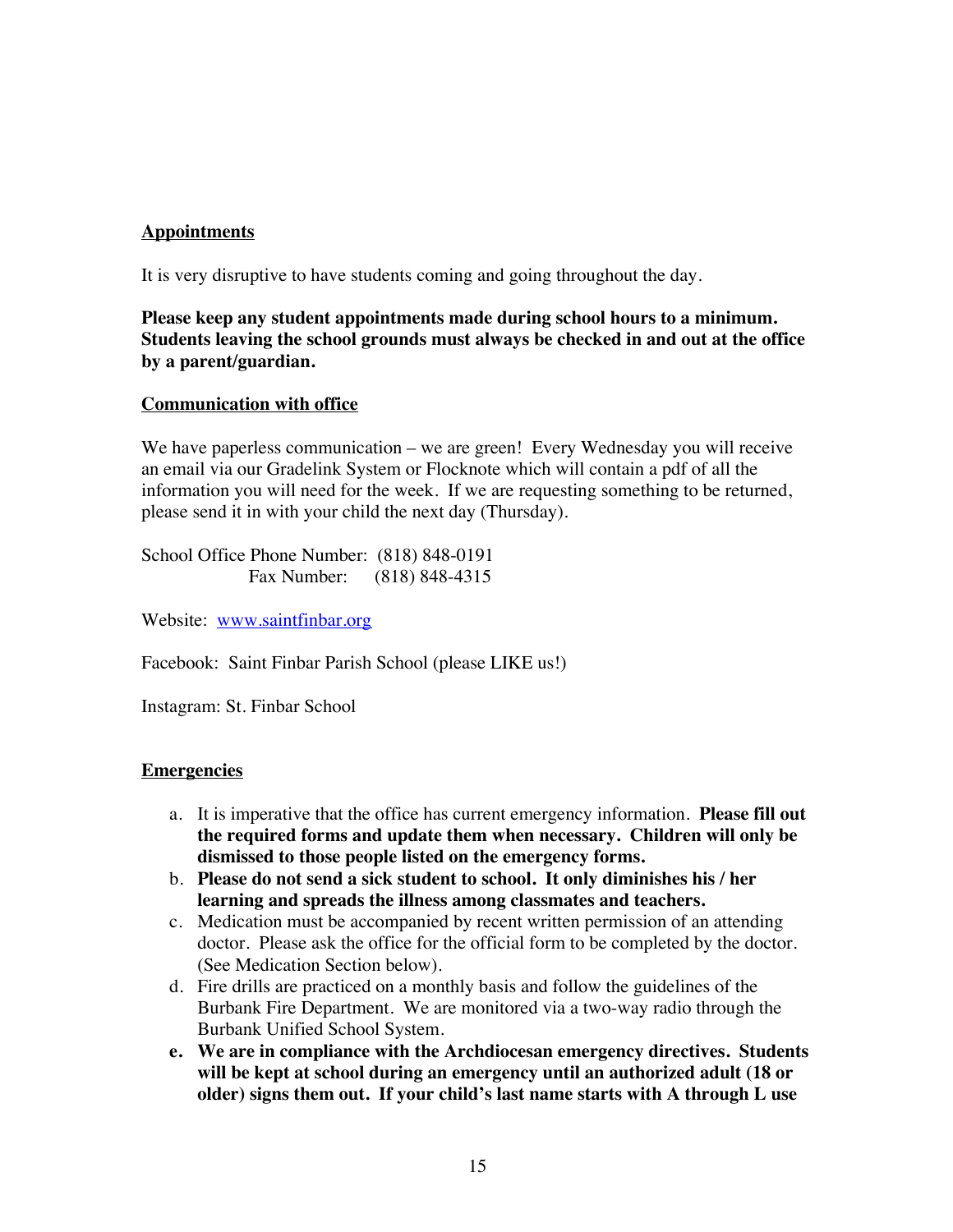#### **Appointments**

It is very disruptive to have students coming and going throughout the day.

**Please keep any student appointments made during school hours to a minimum. Students leaving the school grounds must always be checked in and out at the office by a parent/guardian.**

#### **Communication with office**

We have paperless communication – we are green! Every Wednesday you will receive an email via our Gradelink System or Flocknote which will contain a pdf of all the information you will need for the week. If we are requesting something to be returned, please send it in with your child the next day (Thursday).

School Office Phone Number: (818) 848-0191 Fax Number: (818) 848-4315

Website: www.saintfinbar.org

Facebook: Saint Finbar Parish School (please LIKE us!)

Instagram: St. Finbar School

#### **Emergencies**

- a. It is imperative that the office has current emergency information. **Please fill out the required forms and update them when necessary. Children will only be dismissed to those people listed on the emergency forms.**
- b. **Please do not send a sick student to school. It only diminishes his / her learning and spreads the illness among classmates and teachers.**
- c. Medication must be accompanied by recent written permission of an attending doctor. Please ask the office for the official form to be completed by the doctor. (See Medication Section below).
- d. Fire drills are practiced on a monthly basis and follow the guidelines of the Burbank Fire Department. We are monitored via a two-way radio through the Burbank Unified School System.
- **e. We are in compliance with the Archdiocesan emergency directives. Students will be kept at school during an emergency until an authorized adult (18 or older) signs them out. If your child's last name starts with A through L use**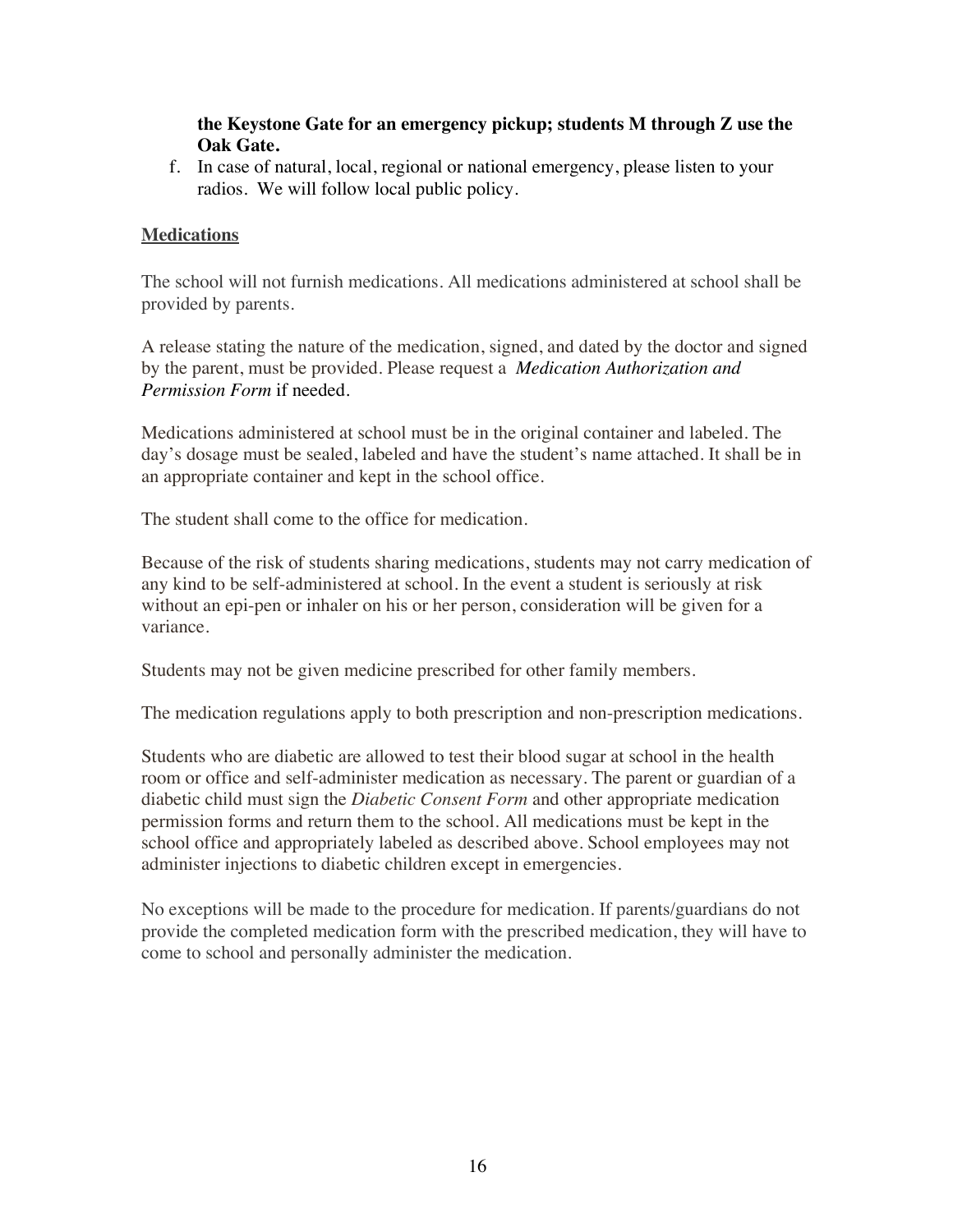#### **the Keystone Gate for an emergency pickup; students M through Z use the Oak Gate.**

f. In case of natural, local, regional or national emergency, please listen to your radios. We will follow local public policy.

#### **Medications**

The school will not furnish medications. All medications administered at school shall be provided by parents.

A release stating the nature of the medication, signed, and dated by the doctor and signed by the parent, must be provided. Please request a *Medication Authorization and Permission Form* if needed.

Medications administered at school must be in the original container and labeled. The day's dosage must be sealed, labeled and have the student's name attached. It shall be in an appropriate container and kept in the school office.

The student shall come to the office for medication.

Because of the risk of students sharing medications, students may not carry medication of any kind to be self-administered at school. In the event a student is seriously at risk without an epi-pen or inhaler on his or her person, consideration will be given for a variance.

Students may not be given medicine prescribed for other family members.

The medication regulations apply to both prescription and non-prescription medications.

Students who are diabetic are allowed to test their blood sugar at school in the health room or office and self-administer medication as necessary. The parent or guardian of a diabetic child must sign the *Diabetic Consent Form* and other appropriate medication permission forms and return them to the school. All medications must be kept in the school office and appropriately labeled as described above. School employees may not administer injections to diabetic children except in emergencies.

No exceptions will be made to the procedure for medication. If parents/guardians do not provide the completed medication form with the prescribed medication, they will have to come to school and personally administer the medication.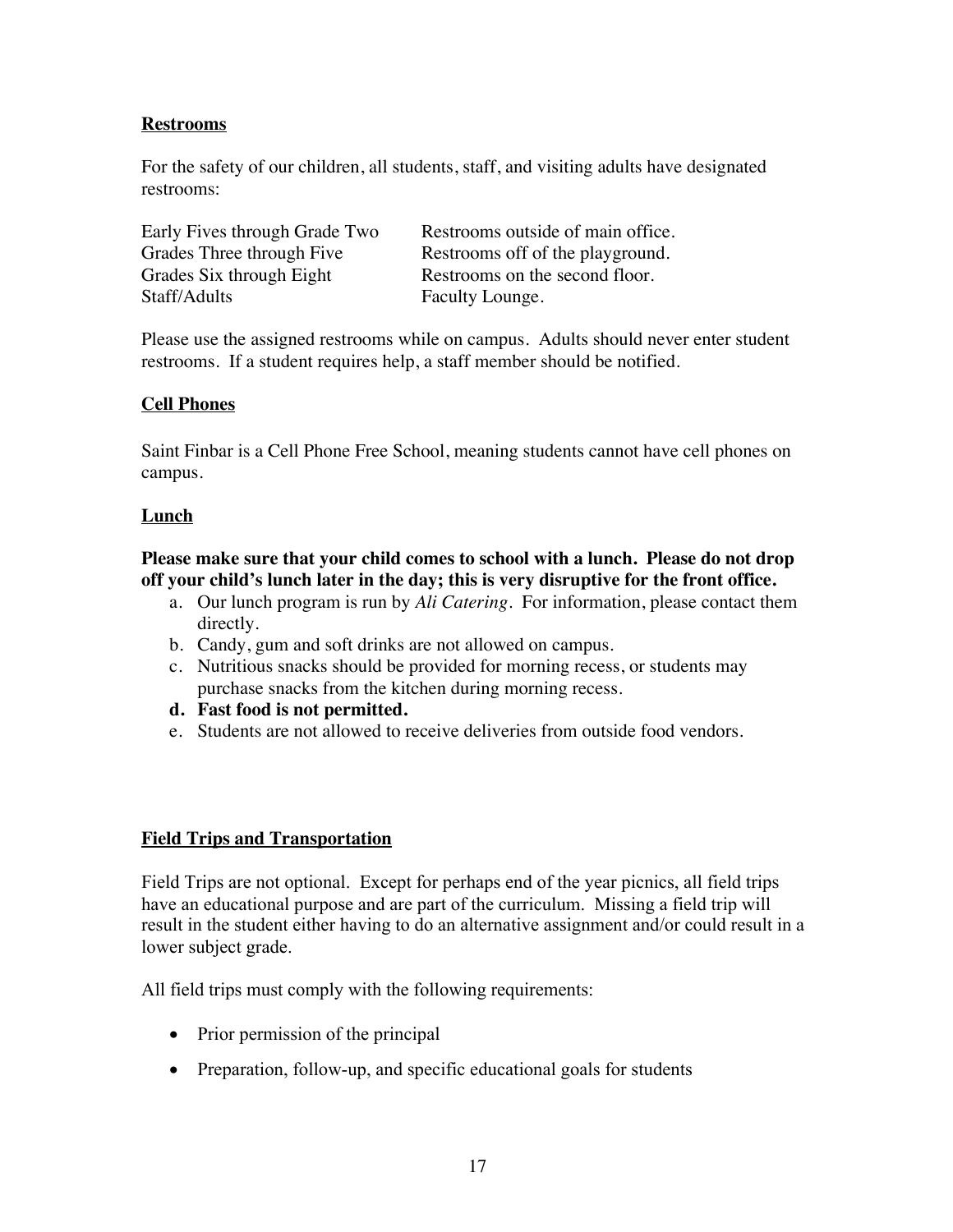#### **Restrooms**

For the safety of our children, all students, staff, and visiting adults have designated restrooms:

| Early Fives through Grade Two | Restrooms outside of main office. |
|-------------------------------|-----------------------------------|
| Grades Three through Five     | Restrooms off of the playground.  |
| Grades Six through Eight      | Restrooms on the second floor.    |
| Staff/Adults                  | Faculty Lounge.                   |

Please use the assigned restrooms while on campus. Adults should never enter student restrooms. If a student requires help, a staff member should be notified.

### **Cell Phones**

Saint Finbar is a Cell Phone Free School, meaning students cannot have cell phones on campus.

#### **Lunch**

#### **Please make sure that your child comes to school with a lunch. Please do not drop off your child's lunch later in the day; this is very disruptive for the front office.**

- a. Our lunch program is run by *Ali Catering*. For information, please contact them directly.
- b. Candy, gum and soft drinks are not allowed on campus.
- c. Nutritious snacks should be provided for morning recess, or students may purchase snacks from the kitchen during morning recess.
- **d. Fast food is not permitted.**
- e. Students are not allowed to receive deliveries from outside food vendors.

### **Field Trips and Transportation**

Field Trips are not optional. Except for perhaps end of the year picnics, all field trips have an educational purpose and are part of the curriculum. Missing a field trip will result in the student either having to do an alternative assignment and/or could result in a lower subject grade.

All field trips must comply with the following requirements:

- Prior permission of the principal
- Preparation, follow-up, and specific educational goals for students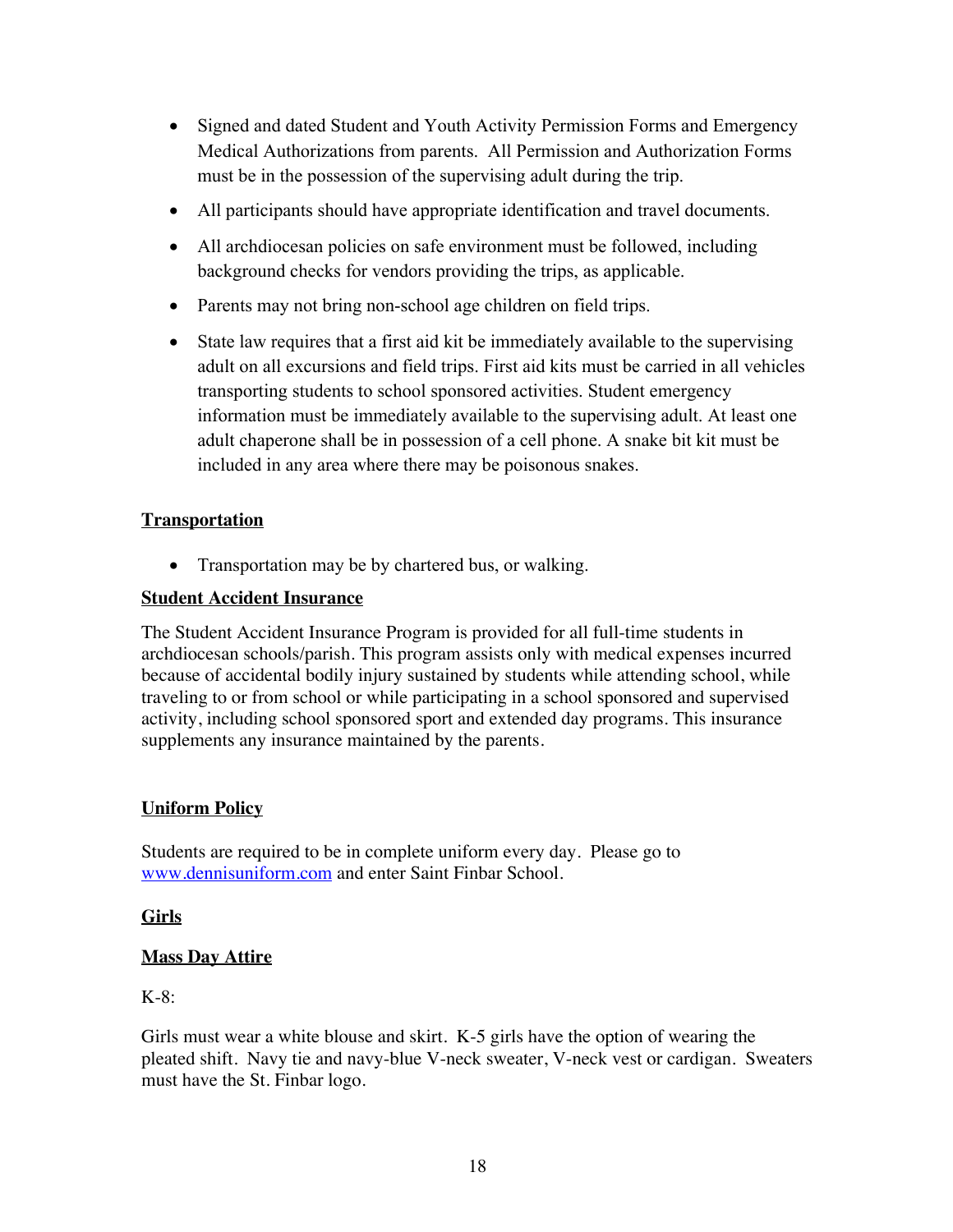- Signed and dated Student and Youth Activity Permission Forms and Emergency Medical Authorizations from parents. All Permission and Authorization Forms must be in the possession of the supervising adult during the trip.
- All participants should have appropriate identification and travel documents.
- All archdiocesan policies on safe environment must be followed, including background checks for vendors providing the trips, as applicable.
- Parents may not bring non-school age children on field trips.
- State law requires that a first aid kit be immediately available to the supervising adult on all excursions and field trips. First aid kits must be carried in all vehicles transporting students to school sponsored activities. Student emergency information must be immediately available to the supervising adult. At least one adult chaperone shall be in possession of a cell phone. A snake bit kit must be included in any area where there may be poisonous snakes.

#### **Transportation**

• Transportation may be by chartered bus, or walking.

#### **Student Accident Insurance**

The Student Accident Insurance Program is provided for all full-time students in archdiocesan schools/parish. This program assists only with medical expenses incurred because of accidental bodily injury sustained by students while attending school, while traveling to or from school or while participating in a school sponsored and supervised activity, including school sponsored sport and extended day programs. This insurance supplements any insurance maintained by the parents.

### **Uniform Policy**

Students are required to be in complete uniform every day. Please go to www.dennisuniform.com and enter Saint Finbar School.

#### **Girls**

### **Mass Day Attire**

K-8:

Girls must wear a white blouse and skirt. K-5 girls have the option of wearing the pleated shift. Navy tie and navy-blue V-neck sweater, V-neck vest or cardigan. Sweaters must have the St. Finbar logo.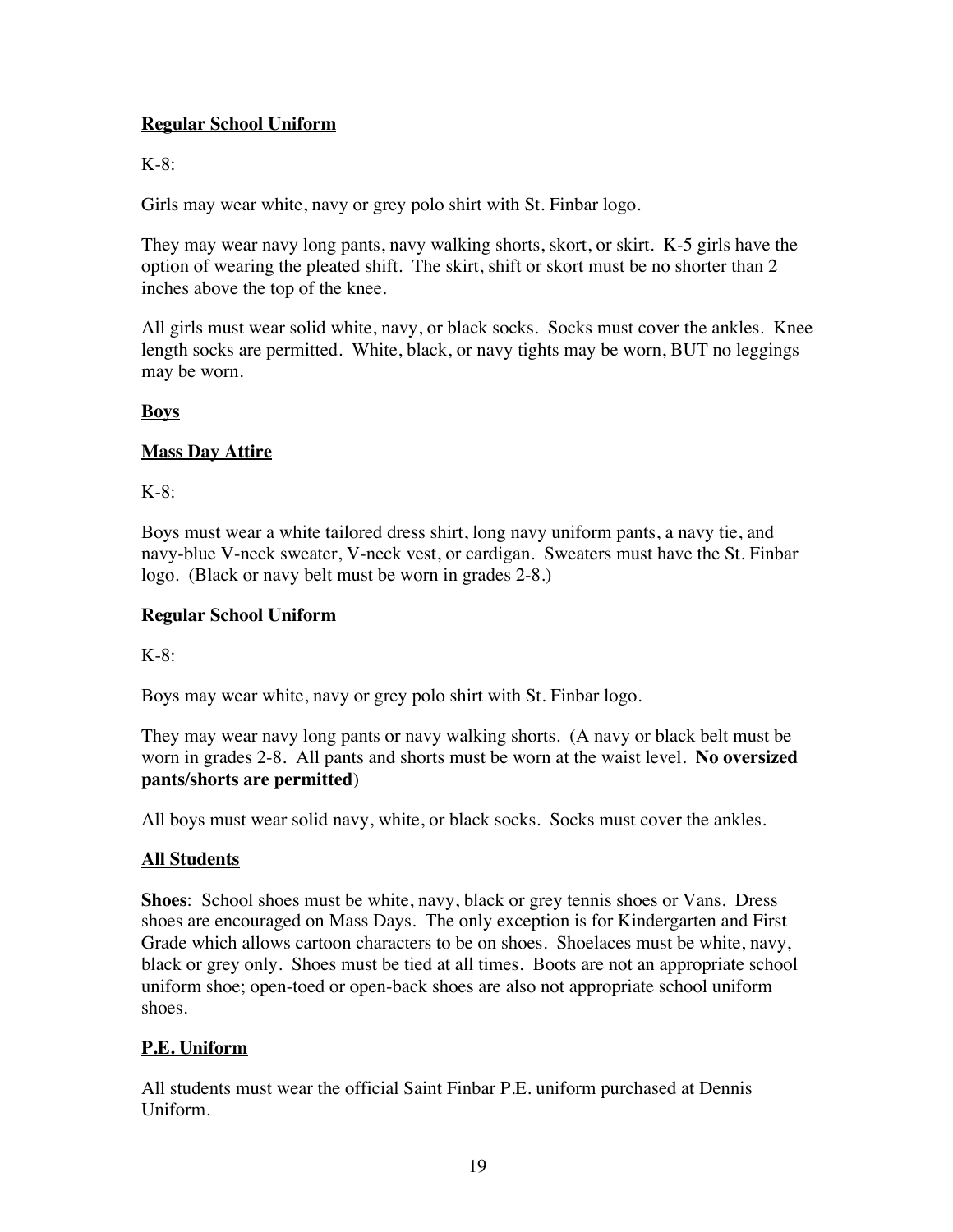## **Regular School Uniform**

## K-8:

Girls may wear white, navy or grey polo shirt with St. Finbar logo.

They may wear navy long pants, navy walking shorts, skort, or skirt. K-5 girls have the option of wearing the pleated shift. The skirt, shift or skort must be no shorter than 2 inches above the top of the knee.

All girls must wear solid white, navy, or black socks. Socks must cover the ankles. Knee length socks are permitted. White, black, or navy tights may be worn, BUT no leggings may be worn.

## **Boys**

## **Mass Day Attire**

K-8:

Boys must wear a white tailored dress shirt, long navy uniform pants, a navy tie, and navy-blue V-neck sweater, V-neck vest, or cardigan. Sweaters must have the St. Finbar logo. (Black or navy belt must be worn in grades 2-8.)

## **Regular School Uniform**

 $K-8$ :

Boys may wear white, navy or grey polo shirt with St. Finbar logo.

They may wear navy long pants or navy walking shorts. (A navy or black belt must be worn in grades 2-8. All pants and shorts must be worn at the waist level. **No oversized pants/shorts are permitted**)

All boys must wear solid navy, white, or black socks. Socks must cover the ankles.

### **All Students**

**Shoes**: School shoes must be white, navy, black or grey tennis shoes or Vans. Dress shoes are encouraged on Mass Days. The only exception is for Kindergarten and First Grade which allows cartoon characters to be on shoes. Shoelaces must be white, navy, black or grey only. Shoes must be tied at all times. Boots are not an appropriate school uniform shoe; open-toed or open-back shoes are also not appropriate school uniform shoes.

## **P.E. Uniform**

All students must wear the official Saint Finbar P.E. uniform purchased at Dennis Uniform.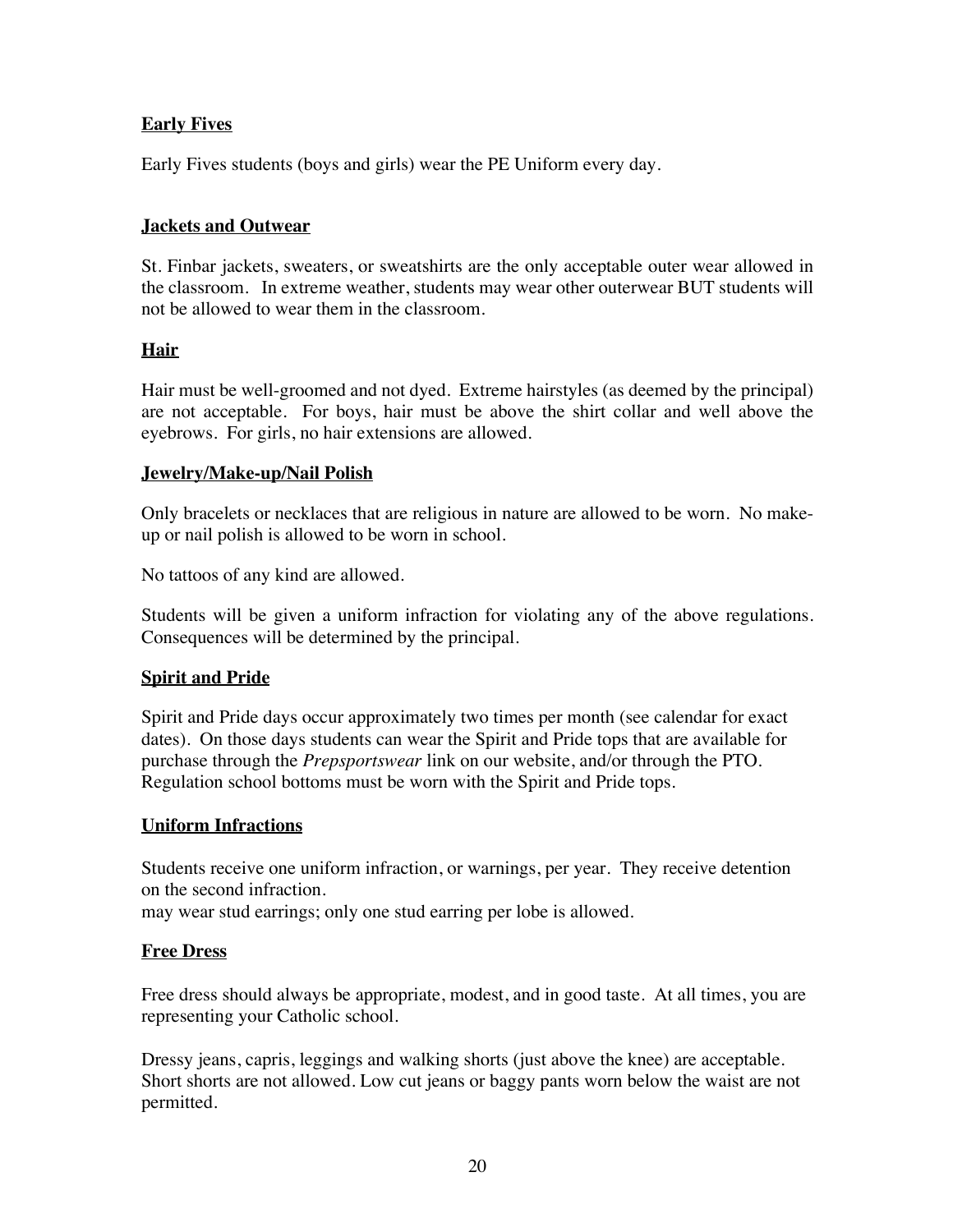## **Early Fives**

Early Fives students (boys and girls) wear the PE Uniform every day.

#### **Jackets and Outwear**

St. Finbar jackets, sweaters, or sweatshirts are the only acceptable outer wear allowed in the classroom. In extreme weather, students may wear other outerwear BUT students will not be allowed to wear them in the classroom.

#### **Hair**

Hair must be well-groomed and not dyed. Extreme hairstyles (as deemed by the principal) are not acceptable. For boys, hair must be above the shirt collar and well above the eyebrows. For girls, no hair extensions are allowed.

#### **Jewelry/Make-up/Nail Polish**

Only bracelets or necklaces that are religious in nature are allowed to be worn. No makeup or nail polish is allowed to be worn in school.

No tattoos of any kind are allowed.

Students will be given a uniform infraction for violating any of the above regulations. Consequences will be determined by the principal.

### **Spirit and Pride**

Spirit and Pride days occur approximately two times per month (see calendar for exact dates). On those days students can wear the Spirit and Pride tops that are available for purchase through the *Prepsportswear* link on our website, and/or through the PTO. Regulation school bottoms must be worn with the Spirit and Pride tops.

#### **Uniform Infractions**

Students receive one uniform infraction, or warnings, per year. They receive detention on the second infraction.

may wear stud earrings; only one stud earring per lobe is allowed.

#### **Free Dress**

Free dress should always be appropriate, modest, and in good taste. At all times, you are representing your Catholic school.

Dressy jeans, capris, leggings and walking shorts (just above the knee) are acceptable. Short shorts are not allowed. Low cut jeans or baggy pants worn below the waist are not permitted.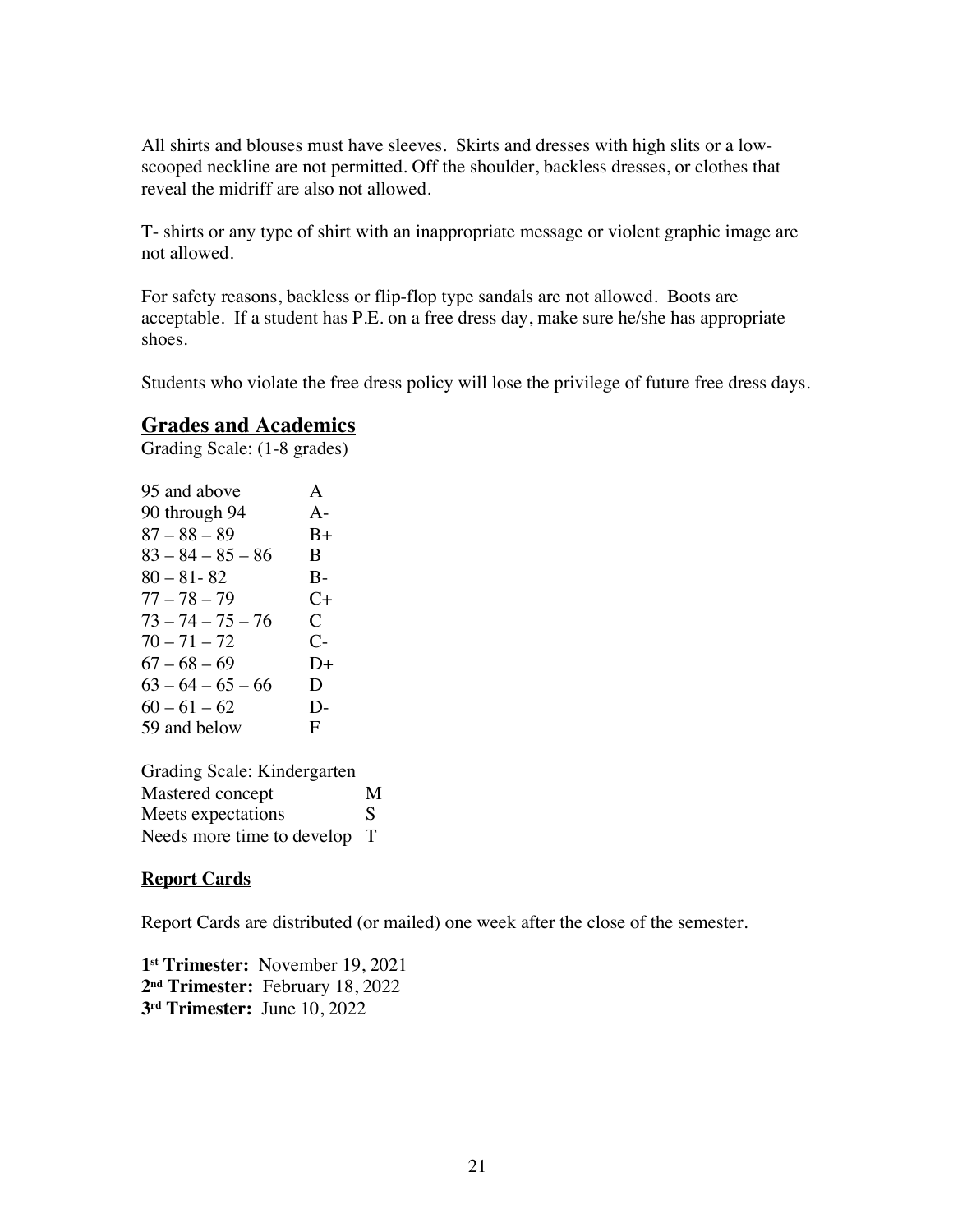All shirts and blouses must have sleeves. Skirts and dresses with high slits or a lowscooped neckline are not permitted. Off the shoulder, backless dresses, or clothes that reveal the midriff are also not allowed.

T- shirts or any type of shirt with an inappropriate message or violent graphic image are not allowed.

For safety reasons, backless or flip-flop type sandals are not allowed. Boots are acceptable. If a student has P.E. on a free dress day, make sure he/she has appropriate shoes.

Students who violate the free dress policy will lose the privilege of future free dress days.

## **Grades and Academics**

Grading Scale: (1-8 grades)

| 95 and above        | A                    |
|---------------------|----------------------|
| 90 through 94       | $A -$                |
| $87 - 88 - 89$      | $B+$                 |
| $83 - 84 - 85 - 86$ | B                    |
| $80 - 81 - 82$      | $B -$                |
| $77 - 78 - 79$      | C+                   |
| $73 - 74 - 75 - 76$ | C                    |
| $70 - 71 - 72$      | $\mathsf{C}\text{-}$ |
| $67 - 68 - 69$      | D+                   |
| $63 - 64 - 65 - 66$ | D                    |
| $60 - 61 - 62$      | D-                   |
| 59 and below        | F                    |

Grading Scale: Kindergarten Mastered concept M Meets expectations S Needs more time to develop T

#### **Report Cards**

Report Cards are distributed (or mailed) one week after the close of the semester.

**1st Trimester:** November 19, 2021 **2nd Trimester:** February 18, 2022 **3rd Trimester:** June 10, 2022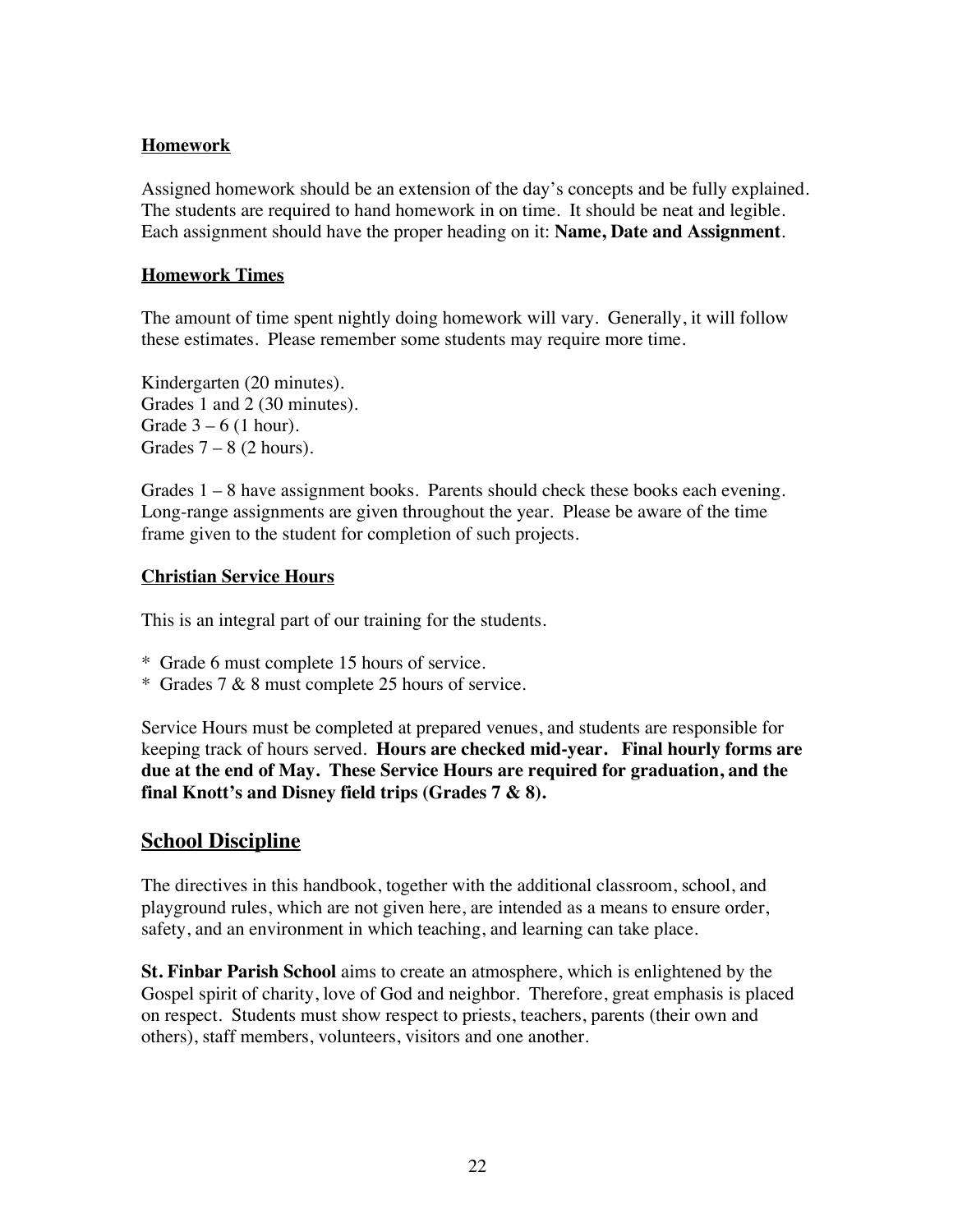#### **Homework**

Assigned homework should be an extension of the day's concepts and be fully explained. The students are required to hand homework in on time. It should be neat and legible. Each assignment should have the proper heading on it: **Name, Date and Assignment**.

#### **Homework Times**

The amount of time spent nightly doing homework will vary. Generally, it will follow these estimates. Please remember some students may require more time.

Kindergarten (20 minutes). Grades 1 and 2 (30 minutes). Grade  $3 - 6$  (1 hour). Grades  $7 - 8$  (2 hours).

Grades 1 – 8 have assignment books. Parents should check these books each evening. Long-range assignments are given throughout the year. Please be aware of the time frame given to the student for completion of such projects.

#### **Christian Service Hours**

This is an integral part of our training for the students.

- \* Grade 6 must complete 15 hours of service.
- \* Grades 7 & 8 must complete 25 hours of service.

Service Hours must be completed at prepared venues, and students are responsible for keeping track of hours served. **Hours are checked mid-year. Final hourly forms are due at the end of May. These Service Hours are required for graduation, and the final Knott's and Disney field trips (Grades 7 & 8).**

## **School Discipline**

The directives in this handbook, together with the additional classroom, school, and playground rules, which are not given here, are intended as a means to ensure order, safety, and an environment in which teaching, and learning can take place.

**St. Finbar Parish School** aims to create an atmosphere, which is enlightened by the Gospel spirit of charity, love of God and neighbor. Therefore, great emphasis is placed on respect. Students must show respect to priests, teachers, parents (their own and others), staff members, volunteers, visitors and one another.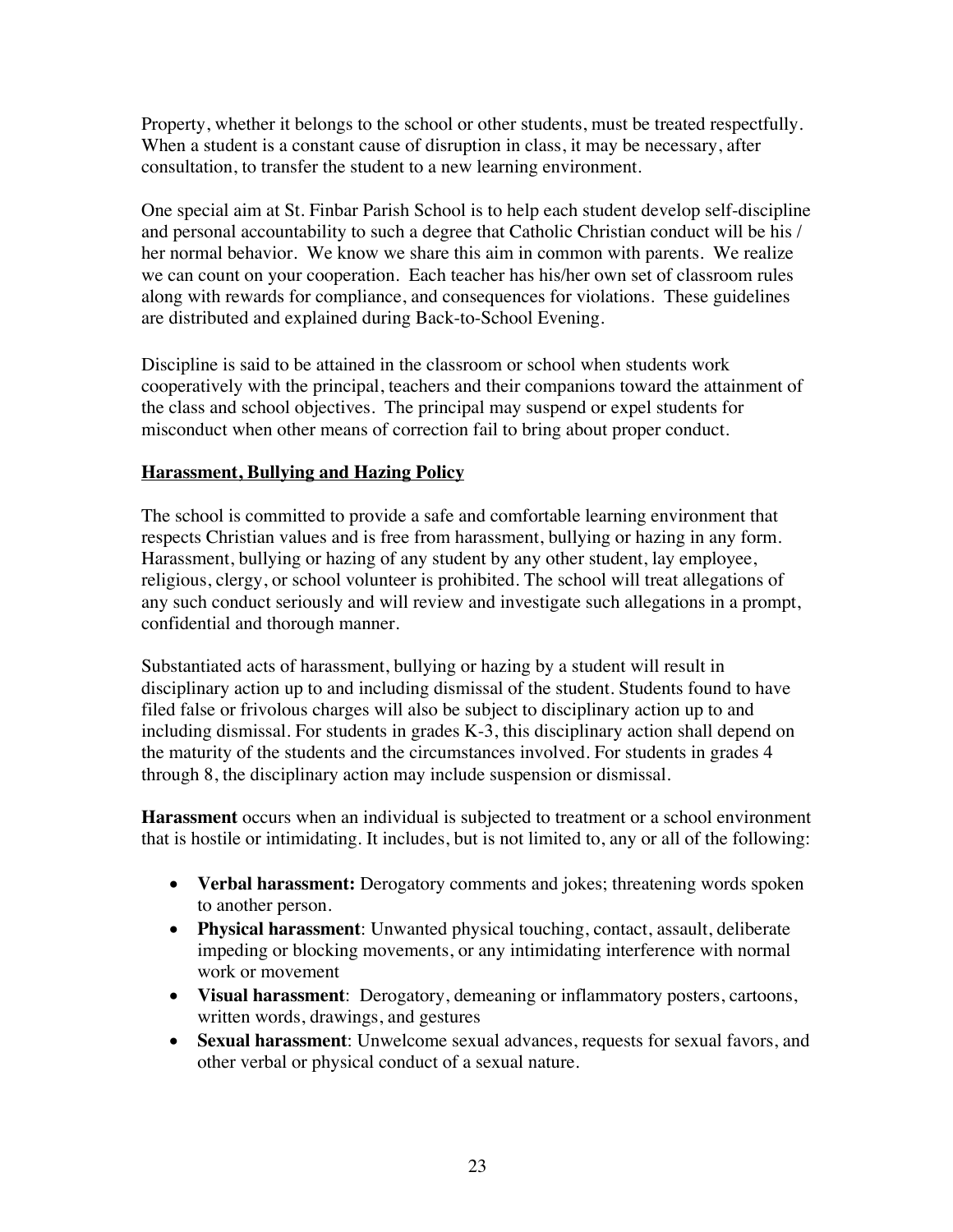Property, whether it belongs to the school or other students, must be treated respectfully. When a student is a constant cause of disruption in class, it may be necessary, after consultation, to transfer the student to a new learning environment.

One special aim at St. Finbar Parish School is to help each student develop self-discipline and personal accountability to such a degree that Catholic Christian conduct will be his / her normal behavior. We know we share this aim in common with parents. We realize we can count on your cooperation. Each teacher has his/her own set of classroom rules along with rewards for compliance, and consequences for violations. These guidelines are distributed and explained during Back-to-School Evening.

Discipline is said to be attained in the classroom or school when students work cooperatively with the principal, teachers and their companions toward the attainment of the class and school objectives. The principal may suspend or expel students for misconduct when other means of correction fail to bring about proper conduct.

## **Harassment, Bullying and Hazing Policy**

The school is committed to provide a safe and comfortable learning environment that respects Christian values and is free from harassment, bullying or hazing in any form. Harassment, bullying or hazing of any student by any other student, lay employee, religious, clergy, or school volunteer is prohibited. The school will treat allegations of any such conduct seriously and will review and investigate such allegations in a prompt, confidential and thorough manner.

Substantiated acts of harassment, bullying or hazing by a student will result in disciplinary action up to and including dismissal of the student. Students found to have filed false or frivolous charges will also be subject to disciplinary action up to and including dismissal. For students in grades K-3, this disciplinary action shall depend on the maturity of the students and the circumstances involved. For students in grades 4 through 8, the disciplinary action may include suspension or dismissal.

**Harassment** occurs when an individual is subjected to treatment or a school environment that is hostile or intimidating. It includes, but is not limited to, any or all of the following:

- **Verbal harassment:** Derogatory comments and jokes; threatening words spoken to another person.
- **Physical harassment**: Unwanted physical touching, contact, assault, deliberate impeding or blocking movements, or any intimidating interference with normal work or movement
- **Visual harassment**: Derogatory, demeaning or inflammatory posters, cartoons, written words, drawings, and gestures
- **Sexual harassment**: Unwelcome sexual advances, requests for sexual favors, and other verbal or physical conduct of a sexual nature.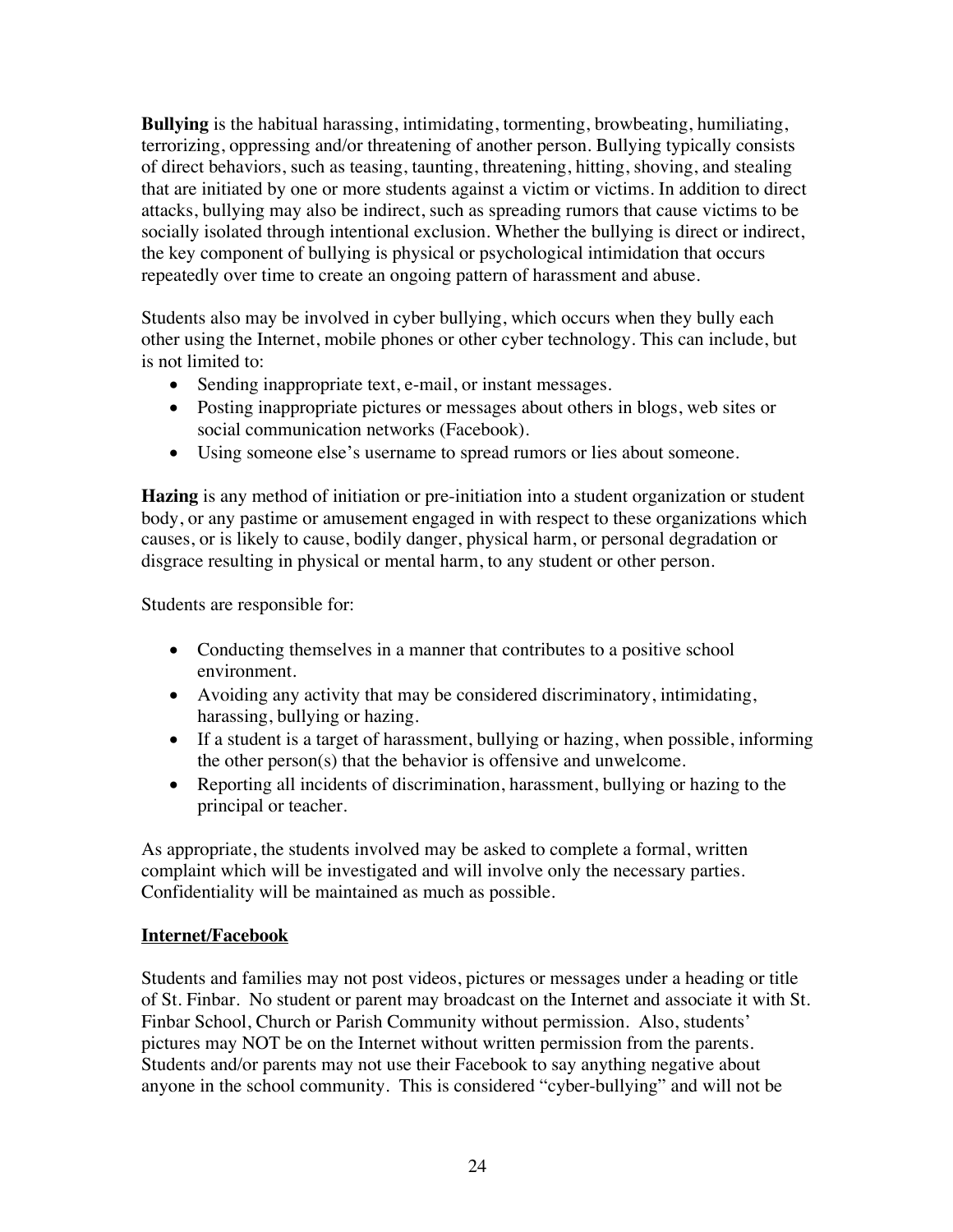**Bullying** is the habitual harassing, intimidating, tormenting, browbeating, humiliating, terrorizing, oppressing and/or threatening of another person. Bullying typically consists of direct behaviors, such as teasing, taunting, threatening, hitting, shoving, and stealing that are initiated by one or more students against a victim or victims. In addition to direct attacks, bullying may also be indirect, such as spreading rumors that cause victims to be socially isolated through intentional exclusion. Whether the bullying is direct or indirect, the key component of bullying is physical or psychological intimidation that occurs repeatedly over time to create an ongoing pattern of harassment and abuse.

Students also may be involved in cyber bullying, which occurs when they bully each other using the Internet, mobile phones or other cyber technology. This can include, but is not limited to:

- Sending inappropriate text, e-mail, or instant messages.
- Posting inappropriate pictures or messages about others in blogs, web sites or social communication networks (Facebook).
- Using someone else's username to spread rumors or lies about someone.

**Hazing** is any method of initiation or pre-initiation into a student organization or student body, or any pastime or amusement engaged in with respect to these organizations which causes, or is likely to cause, bodily danger, physical harm, or personal degradation or disgrace resulting in physical or mental harm, to any student or other person.

Students are responsible for:

- Conducting themselves in a manner that contributes to a positive school environment.
- Avoiding any activity that may be considered discriminatory, intimidating, harassing, bullying or hazing.
- If a student is a target of harassment, bullying or hazing, when possible, informing the other person(s) that the behavior is offensive and unwelcome.
- Reporting all incidents of discrimination, harassment, bullying or hazing to the principal or teacher.

As appropriate, the students involved may be asked to complete a formal, written complaint which will be investigated and will involve only the necessary parties. Confidentiality will be maintained as much as possible.

#### **Internet/Facebook**

Students and families may not post videos, pictures or messages under a heading or title of St. Finbar. No student or parent may broadcast on the Internet and associate it with St. Finbar School, Church or Parish Community without permission. Also, students' pictures may NOT be on the Internet without written permission from the parents. Students and/or parents may not use their Facebook to say anything negative about anyone in the school community. This is considered "cyber-bullying" and will not be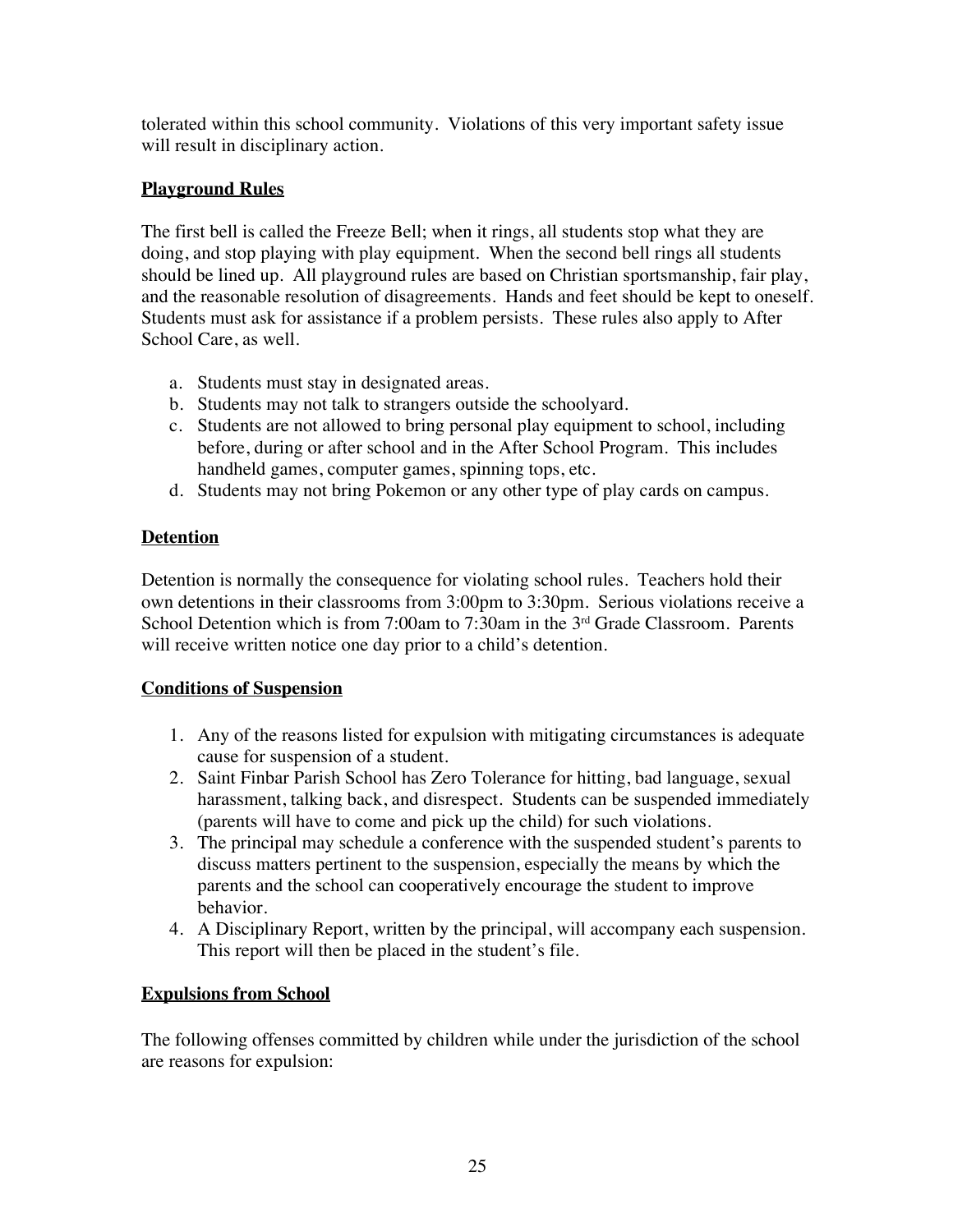tolerated within this school community. Violations of this very important safety issue will result in disciplinary action.

## **Playground Rules**

The first bell is called the Freeze Bell; when it rings, all students stop what they are doing, and stop playing with play equipment. When the second bell rings all students should be lined up. All playground rules are based on Christian sportsmanship, fair play, and the reasonable resolution of disagreements. Hands and feet should be kept to oneself. Students must ask for assistance if a problem persists. These rules also apply to After School Care, as well.

- a. Students must stay in designated areas.
- b. Students may not talk to strangers outside the schoolyard.
- c. Students are not allowed to bring personal play equipment to school, including before, during or after school and in the After School Program. This includes handheld games, computer games, spinning tops, etc.
- d. Students may not bring Pokemon or any other type of play cards on campus.

## **Detention**

Detention is normally the consequence for violating school rules. Teachers hold their own detentions in their classrooms from 3:00pm to 3:30pm. Serious violations receive a School Detention which is from 7:00am to 7:30am in the 3<sup>rd</sup> Grade Classroom. Parents will receive written notice one day prior to a child's detention.

## **Conditions of Suspension**

- 1. Any of the reasons listed for expulsion with mitigating circumstances is adequate cause for suspension of a student.
- 2. Saint Finbar Parish School has Zero Tolerance for hitting, bad language, sexual harassment, talking back, and disrespect. Students can be suspended immediately (parents will have to come and pick up the child) for such violations.
- 3. The principal may schedule a conference with the suspended student's parents to discuss matters pertinent to the suspension, especially the means by which the parents and the school can cooperatively encourage the student to improve behavior.
- 4. A Disciplinary Report, written by the principal, will accompany each suspension. This report will then be placed in the student's file.

## **Expulsions from School**

The following offenses committed by children while under the jurisdiction of the school are reasons for expulsion: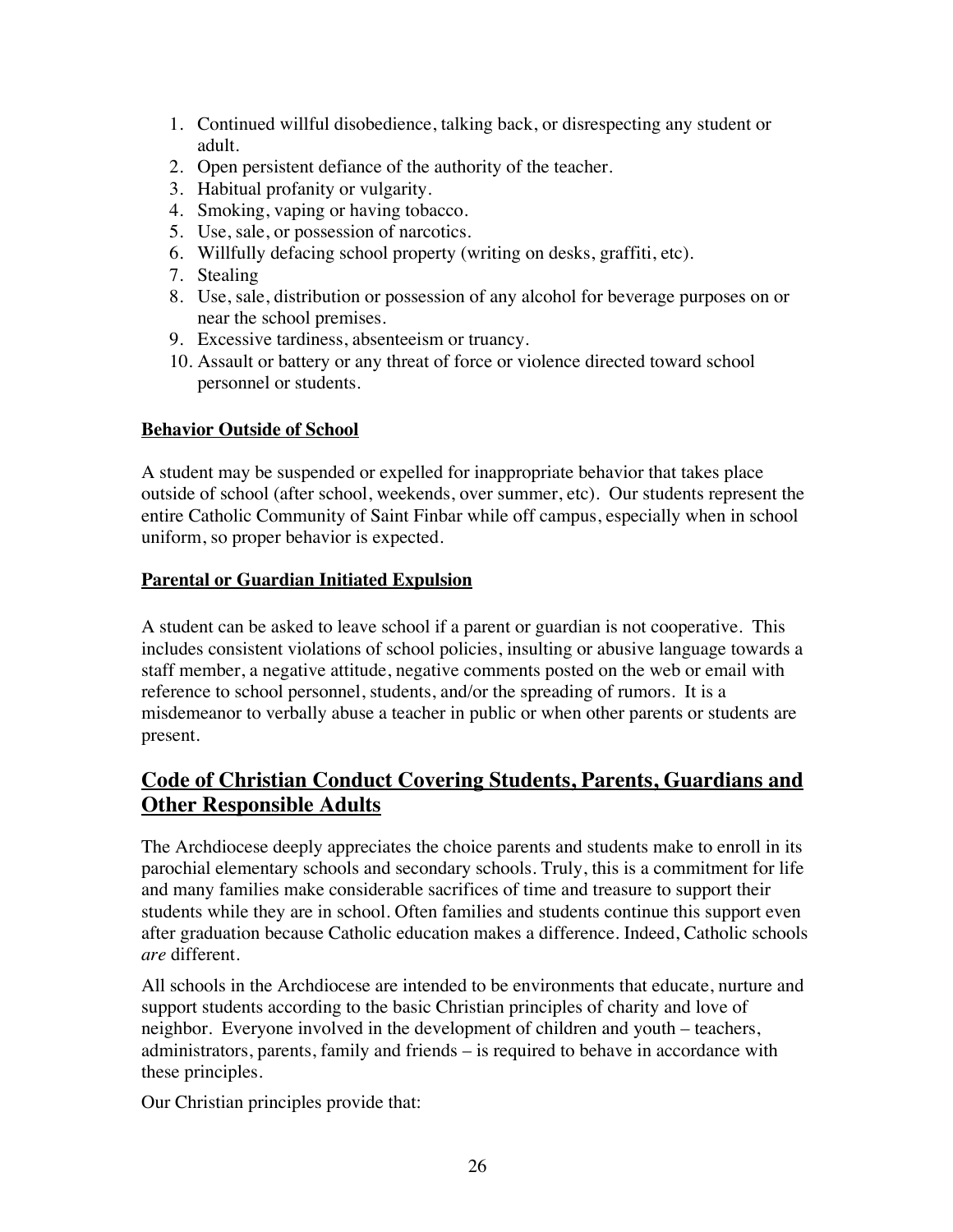- 1. Continued willful disobedience, talking back, or disrespecting any student or adult.
- 2. Open persistent defiance of the authority of the teacher.
- 3. Habitual profanity or vulgarity.
- 4. Smoking, vaping or having tobacco.
- 5. Use, sale, or possession of narcotics.
- 6. Willfully defacing school property (writing on desks, graffiti, etc).
- 7. Stealing
- 8. Use, sale, distribution or possession of any alcohol for beverage purposes on or near the school premises.
- 9. Excessive tardiness, absenteeism or truancy.
- 10. Assault or battery or any threat of force or violence directed toward school personnel or students.

### **Behavior Outside of School**

A student may be suspended or expelled for inappropriate behavior that takes place outside of school (after school, weekends, over summer, etc). Our students represent the entire Catholic Community of Saint Finbar while off campus, especially when in school uniform, so proper behavior is expected.

## **Parental or Guardian Initiated Expulsion**

A student can be asked to leave school if a parent or guardian is not cooperative. This includes consistent violations of school policies, insulting or abusive language towards a staff member, a negative attitude, negative comments posted on the web or email with reference to school personnel, students, and/or the spreading of rumors. It is a misdemeanor to verbally abuse a teacher in public or when other parents or students are present.

# **Code of Christian Conduct Covering Students, Parents, Guardians and Other Responsible Adults**

The Archdiocese deeply appreciates the choice parents and students make to enroll in its parochial elementary schools and secondary schools. Truly, this is a commitment for life and many families make considerable sacrifices of time and treasure to support their students while they are in school. Often families and students continue this support even after graduation because Catholic education makes a difference. Indeed, Catholic schools *are* different.

All schools in the Archdiocese are intended to be environments that educate, nurture and support students according to the basic Christian principles of charity and love of neighbor. Everyone involved in the development of children and youth – teachers, administrators, parents, family and friends – is required to behave in accordance with these principles.

Our Christian principles provide that: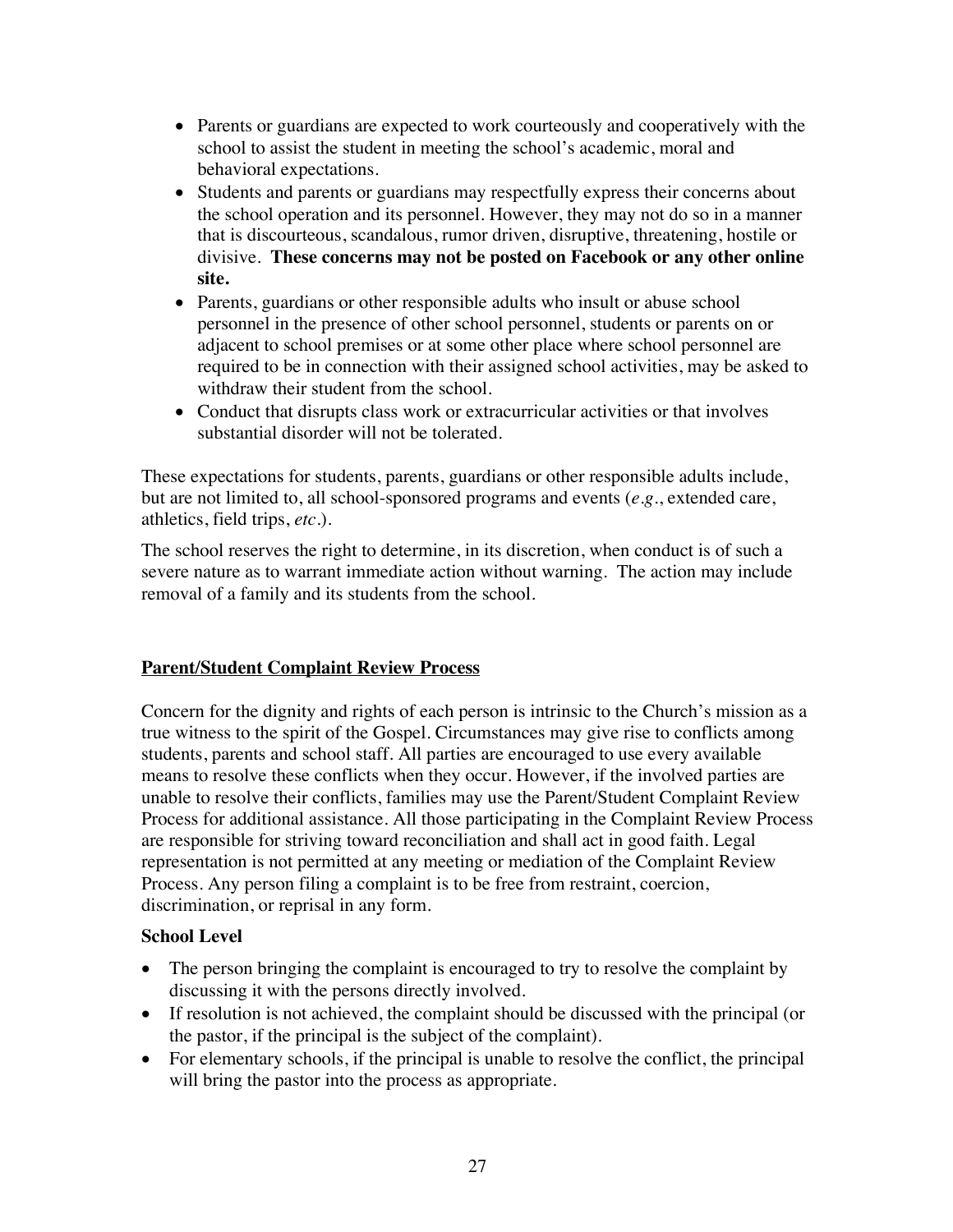- Parents or guardians are expected to work courteously and cooperatively with the school to assist the student in meeting the school's academic, moral and behavioral expectations.
- Students and parents or guardians may respectfully express their concerns about the school operation and its personnel. However, they may not do so in a manner that is discourteous, scandalous, rumor driven, disruptive, threatening, hostile or divisive. **These concerns may not be posted on Facebook or any other online site.**
- Parents, guardians or other responsible adults who insult or abuse school personnel in the presence of other school personnel, students or parents on or adjacent to school premises or at some other place where school personnel are required to be in connection with their assigned school activities, may be asked to withdraw their student from the school.
- Conduct that disrupts class work or extracurricular activities or that involves substantial disorder will not be tolerated.

These expectations for students, parents, guardians or other responsible adults include, but are not limited to, all school-sponsored programs and events (*e.g*., extended care, athletics, field trips, *etc.*).

The school reserves the right to determine, in its discretion, when conduct is of such a severe nature as to warrant immediate action without warning. The action may include removal of a family and its students from the school.

### **Parent/Student Complaint Review Process**

Concern for the dignity and rights of each person is intrinsic to the Church's mission as a true witness to the spirit of the Gospel. Circumstances may give rise to conflicts among students, parents and school staff. All parties are encouraged to use every available means to resolve these conflicts when they occur. However, if the involved parties are unable to resolve their conflicts, families may use the Parent/Student Complaint Review Process for additional assistance. All those participating in the Complaint Review Process are responsible for striving toward reconciliation and shall act in good faith. Legal representation is not permitted at any meeting or mediation of the Complaint Review Process. Any person filing a complaint is to be free from restraint, coercion, discrimination, or reprisal in any form.

### **School Level**

- The person bringing the complaint is encouraged to try to resolve the complaint by discussing it with the persons directly involved.
- If resolution is not achieved, the complaint should be discussed with the principal (or the pastor, if the principal is the subject of the complaint).
- For elementary schools, if the principal is unable to resolve the conflict, the principal will bring the pastor into the process as appropriate.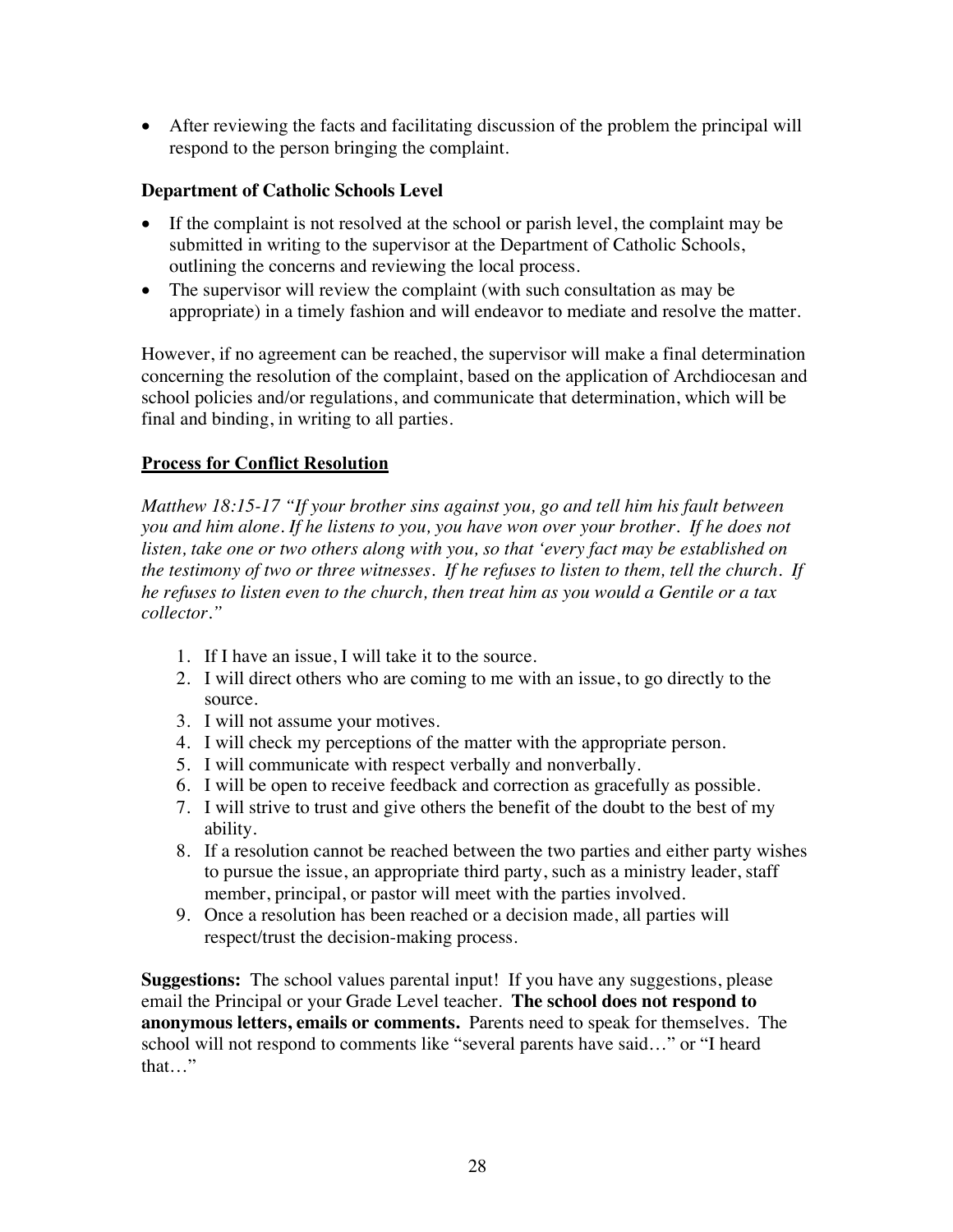• After reviewing the facts and facilitating discussion of the problem the principal will respond to the person bringing the complaint.

### **Department of Catholic Schools Level**

- If the complaint is not resolved at the school or parish level, the complaint may be submitted in writing to the supervisor at the Department of Catholic Schools, outlining the concerns and reviewing the local process.
- The supervisor will review the complaint (with such consultation as may be appropriate) in a timely fashion and will endeavor to mediate and resolve the matter.

However, if no agreement can be reached, the supervisor will make a final determination concerning the resolution of the complaint, based on the application of Archdiocesan and school policies and/or regulations, and communicate that determination, which will be final and binding, in writing to all parties.

## **Process for Conflict Resolution**

*Matthew 18:15-17 "If your brother sins against you, go and tell him his fault between you and him alone. If he listens to you, you have won over your brother. If he does not listen, take one or two others along with you, so that 'every fact may be established on the testimony of two or three witnesses. If he refuses to listen to them, tell the church. If he refuses to listen even to the church, then treat him as you would a Gentile or a tax collector."*

- 1. If I have an issue, I will take it to the source.
- 2. I will direct others who are coming to me with an issue, to go directly to the source.
- 3. I will not assume your motives.
- 4. I will check my perceptions of the matter with the appropriate person.
- 5. I will communicate with respect verbally and nonverbally.
- 6. I will be open to receive feedback and correction as gracefully as possible.
- 7. I will strive to trust and give others the benefit of the doubt to the best of my ability.
- 8. If a resolution cannot be reached between the two parties and either party wishes to pursue the issue, an appropriate third party, such as a ministry leader, staff member, principal, or pastor will meet with the parties involved.
- 9. Once a resolution has been reached or a decision made, all parties will respect/trust the decision-making process.

**Suggestions:** The school values parental input! If you have any suggestions, please email the Principal or your Grade Level teacher. **The school does not respond to anonymous letters, emails or comments.** Parents need to speak for themselves. The school will not respond to comments like "several parents have said…" or "I heard that…"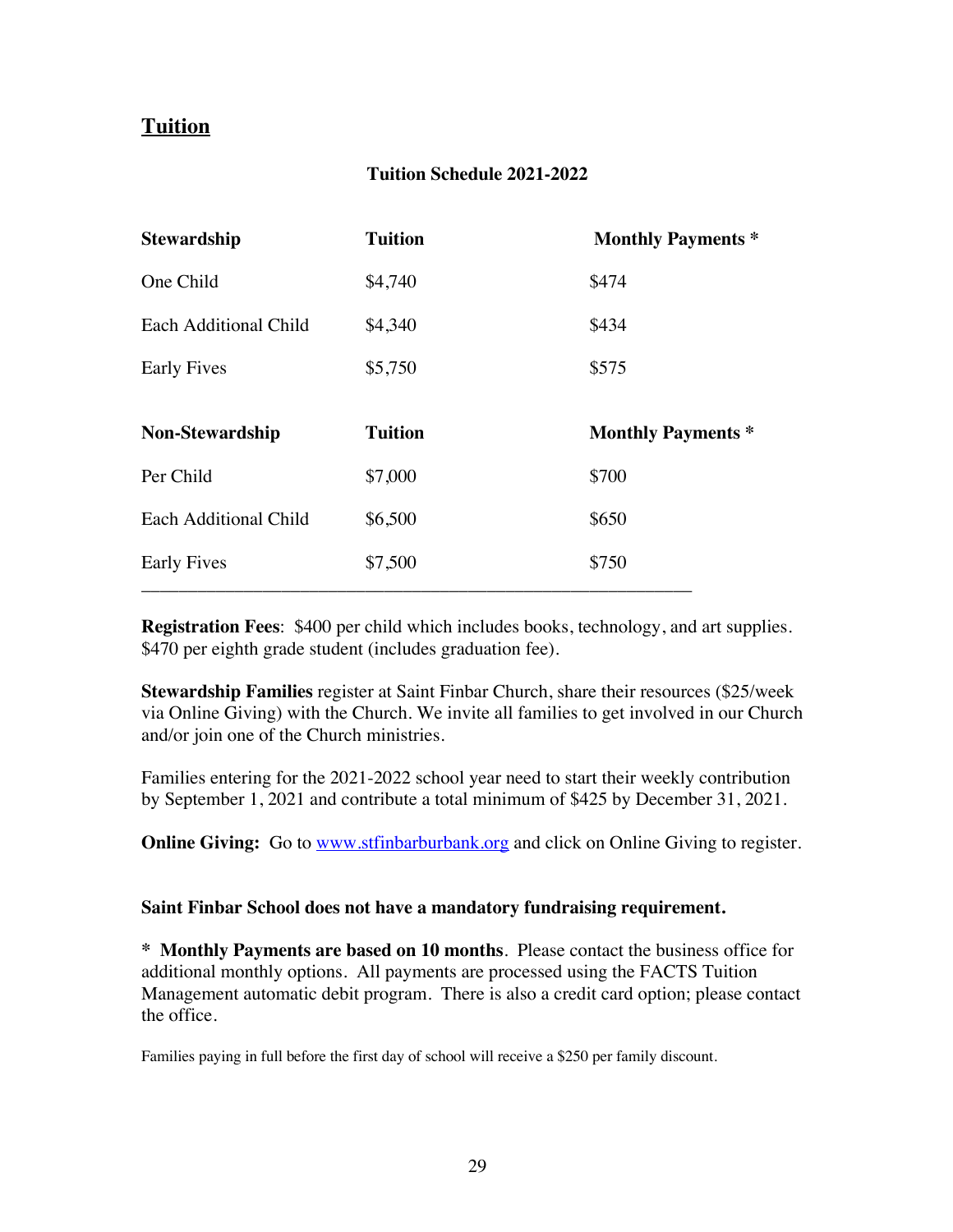# **Tuition**

#### **Tuition Schedule 2021-2022**

| <b>Stewardship</b>     | <b>Tuition</b> | <b>Monthly Payments *</b> |
|------------------------|----------------|---------------------------|
| One Child              | \$4,740        | \$474                     |
| Each Additional Child  | \$4,340        | \$434                     |
| <b>Early Fives</b>     | \$5,750        | \$575                     |
| <b>Non-Stewardship</b> | <b>Tuition</b> | <b>Monthly Payments *</b> |
|                        |                |                           |
| Per Child              | \$7,000        | \$700                     |
| Each Additional Child  | \$6,500        | \$650                     |
| <b>Early Fives</b>     | \$7,500        | \$750                     |

**Registration Fees**: \$400 per child which includes books, technology, and art supplies. \$470 per eighth grade student (includes graduation fee).

**Stewardship Families** register at Saint Finbar Church, share their resources (\$25/week via Online Giving) with the Church. We invite all families to get involved in our Church and/or join one of the Church ministries.

Families entering for the 2021-2022 school year need to start their weekly contribution by September 1, 2021 and contribute a total minimum of \$425 by December 31, 2021.

**Online Giving:** Go to www.stfinbarburbank.org and click on Online Giving to register.

#### **Saint Finbar School does not have a mandatory fundraising requirement.**

**\* Monthly Payments are based on 10 months**. Please contact the business office for additional monthly options. All payments are processed using the FACTS Tuition Management automatic debit program. There is also a credit card option; please contact the office.

Families paying in full before the first day of school will receive a \$250 per family discount.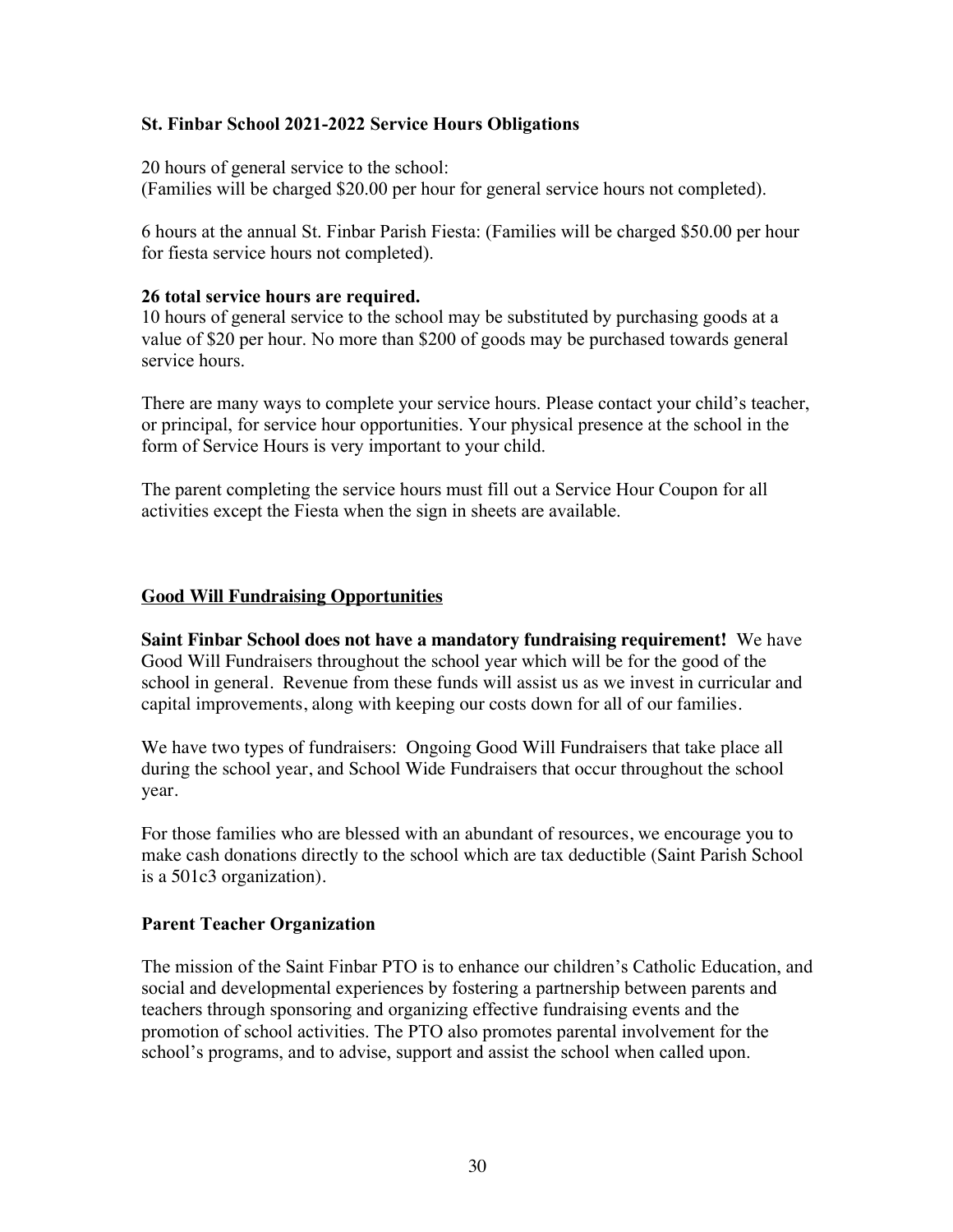### **St. Finbar School 2021-2022 Service Hours Obligations**

20 hours of general service to the school:

(Families will be charged \$20.00 per hour for general service hours not completed).

6 hours at the annual St. Finbar Parish Fiesta: (Families will be charged \$50.00 per hour for fiesta service hours not completed).

#### **26 total service hours are required.**

10 hours of general service to the school may be substituted by purchasing goods at a value of \$20 per hour. No more than \$200 of goods may be purchased towards general service hours.

There are many ways to complete your service hours. Please contact your child's teacher, or principal, for service hour opportunities. Your physical presence at the school in the form of Service Hours is very important to your child.

The parent completing the service hours must fill out a Service Hour Coupon for all activities except the Fiesta when the sign in sheets are available.

### **Good Will Fundraising Opportunities**

**Saint Finbar School does not have a mandatory fundraising requirement!** We have Good Will Fundraisers throughout the school year which will be for the good of the school in general. Revenue from these funds will assist us as we invest in curricular and capital improvements, along with keeping our costs down for all of our families.

We have two types of fundraisers: Ongoing Good Will Fundraisers that take place all during the school year, and School Wide Fundraisers that occur throughout the school year.

For those families who are blessed with an abundant of resources, we encourage you to make cash donations directly to the school which are tax deductible (Saint Parish School is a 501c3 organization).

### **Parent Teacher Organization**

The mission of the Saint Finbar PTO is to enhance our children's Catholic Education, and social and developmental experiences by fostering a partnership between parents and teachers through sponsoring and organizing effective fundraising events and the promotion of school activities. The PTO also promotes parental involvement for the school's programs, and to advise, support and assist the school when called upon.